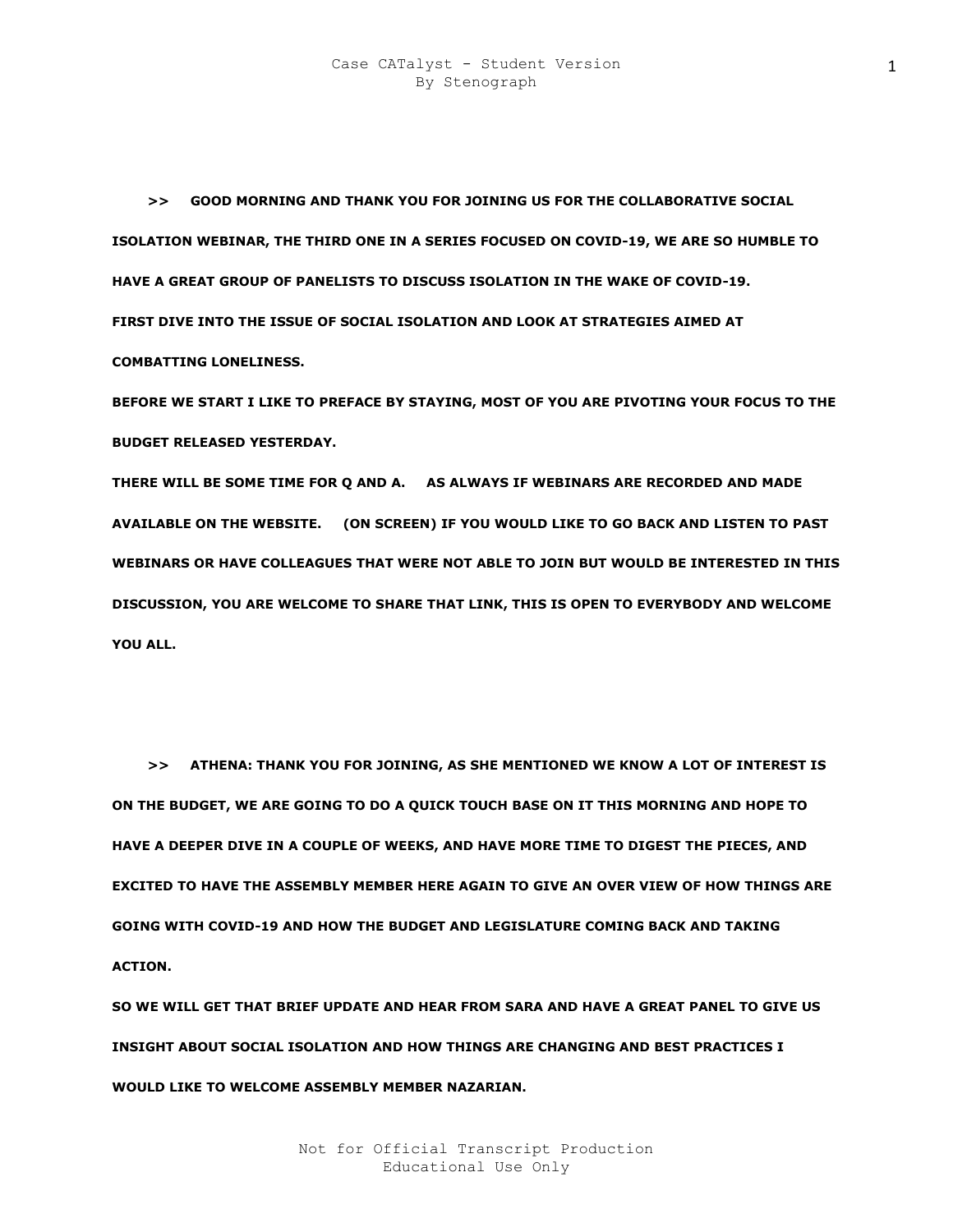**>> GOOD MORNING AND THANK YOU FOR JOINING US FOR THE COLLABORATIVE SOCIAL ISOLATION WEBINAR, THE THIRD ONE IN A SERIES FOCUSED ON COVID-19, WE ARE SO HUMBLE TO HAVE A GREAT GROUP OF PANELISTS TO DISCUSS ISOLATION IN THE WAKE OF COVID-19. FIRST DIVE INTO THE ISSUE OF SOCIAL ISOLATION AND LOOK AT STRATEGIES AIMED AT COMBATTING LONELINESS.** 

**BEFORE WE START I LIKE TO PREFACE BY STAYING, MOST OF YOU ARE PIVOTING YOUR FOCUS TO THE BUDGET RELEASED YESTERDAY.** 

**THERE WILL BE SOME TIME FOR Q AND A. AS ALWAYS IF WEBINARS ARE RECORDED AND MADE AVAILABLE ON THE WEBSITE. (ON SCREEN) IF YOU WOULD LIKE TO GO BACK AND LISTEN TO PAST WEBINARS OR HAVE COLLEAGUES THAT WERE NOT ABLE TO JOIN BUT WOULD BE INTERESTED IN THIS DISCUSSION, YOU ARE WELCOME TO SHARE THAT LINK, THIS IS OPEN TO EVERYBODY AND WELCOME YOU ALL.** 

 **>> ATHENA: THANK YOU FOR JOINING, AS SHE MENTIONED WE KNOW A LOT OF INTEREST IS ON THE BUDGET, WE ARE GOING TO DO A QUICK TOUCH BASE ON IT THIS MORNING AND HOPE TO HAVE A DEEPER DIVE IN A COUPLE OF WEEKS, AND HAVE MORE TIME TO DIGEST THE PIECES, AND EXCITED TO HAVE THE ASSEMBLY MEMBER HERE AGAIN TO GIVE AN OVER VIEW OF HOW THINGS ARE GOING WITH COVID-19 AND HOW THE BUDGET AND LEGISLATURE COMING BACK AND TAKING ACTION.** 

**SO WE WILL GET THAT BRIEF UPDATE AND HEAR FROM SARA AND HAVE A GREAT PANEL TO GIVE US INSIGHT ABOUT SOCIAL ISOLATION AND HOW THINGS ARE CHANGING AND BEST PRACTICES I WOULD LIKE TO WELCOME ASSEMBLY MEMBER NAZARIAN.**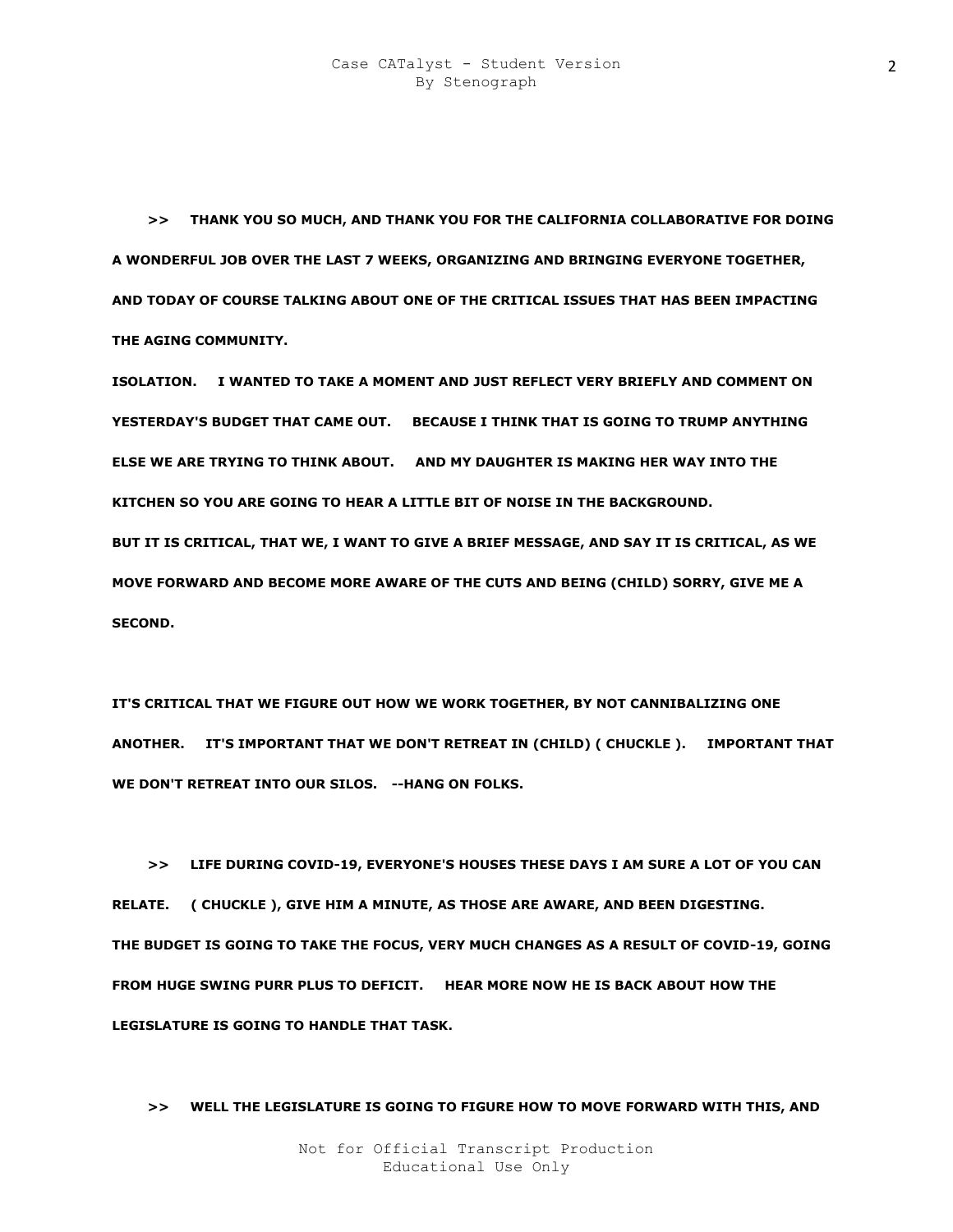**>> THANK YOU SO MUCH, AND THANK YOU FOR THE CALIFORNIA COLLABORATIVE FOR DOING A WONDERFUL JOB OVER THE LAST 7 WEEKS, ORGANIZING AND BRINGING EVERYONE TOGETHER, AND TODAY OF COURSE TALKING ABOUT ONE OF THE CRITICAL ISSUES THAT HAS BEEN IMPACTING THE AGING COMMUNITY.** 

**ISOLATION. I WANTED TO TAKE A MOMENT AND JUST REFLECT VERY BRIEFLY AND COMMENT ON YESTERDAY'S BUDGET THAT CAME OUT. BECAUSE I THINK THAT IS GOING TO TRUMP ANYTHING ELSE WE ARE TRYING TO THINK ABOUT. AND MY DAUGHTER IS MAKING HER WAY INTO THE KITCHEN SO YOU ARE GOING TO HEAR A LITTLE BIT OF NOISE IN THE BACKGROUND. BUT IT IS CRITICAL, THAT WE, I WANT TO GIVE A BRIEF MESSAGE, AND SAY IT IS CRITICAL, AS WE MOVE FORWARD AND BECOME MORE AWARE OF THE CUTS AND BEING (CHILD) SORRY, GIVE ME A SECOND.** 

**IT'S CRITICAL THAT WE FIGURE OUT HOW WE WORK TOGETHER, BY NOT CANNIBALIZING ONE ANOTHER. IT'S IMPORTANT THAT WE DON'T RETREAT IN (CHILD) ( CHUCKLE ). IMPORTANT THAT WE DON'T RETREAT INTO OUR SILOS. --HANG ON FOLKS.** 

 **>> LIFE DURING COVID-19, EVERYONE'S HOUSES THESE DAYS I AM SURE A LOT OF YOU CAN RELATE. ( CHUCKLE ), GIVE HIM A MINUTE, AS THOSE ARE AWARE, AND BEEN DIGESTING. THE BUDGET IS GOING TO TAKE THE FOCUS, VERY MUCH CHANGES AS A RESULT OF COVID-19, GOING FROM HUGE SWING PURR PLUS TO DEFICIT. HEAR MORE NOW HE IS BACK ABOUT HOW THE LEGISLATURE IS GOING TO HANDLE THAT TASK.** 

 **>> WELL THE LEGISLATURE IS GOING TO FIGURE HOW TO MOVE FORWARD WITH THIS, AND**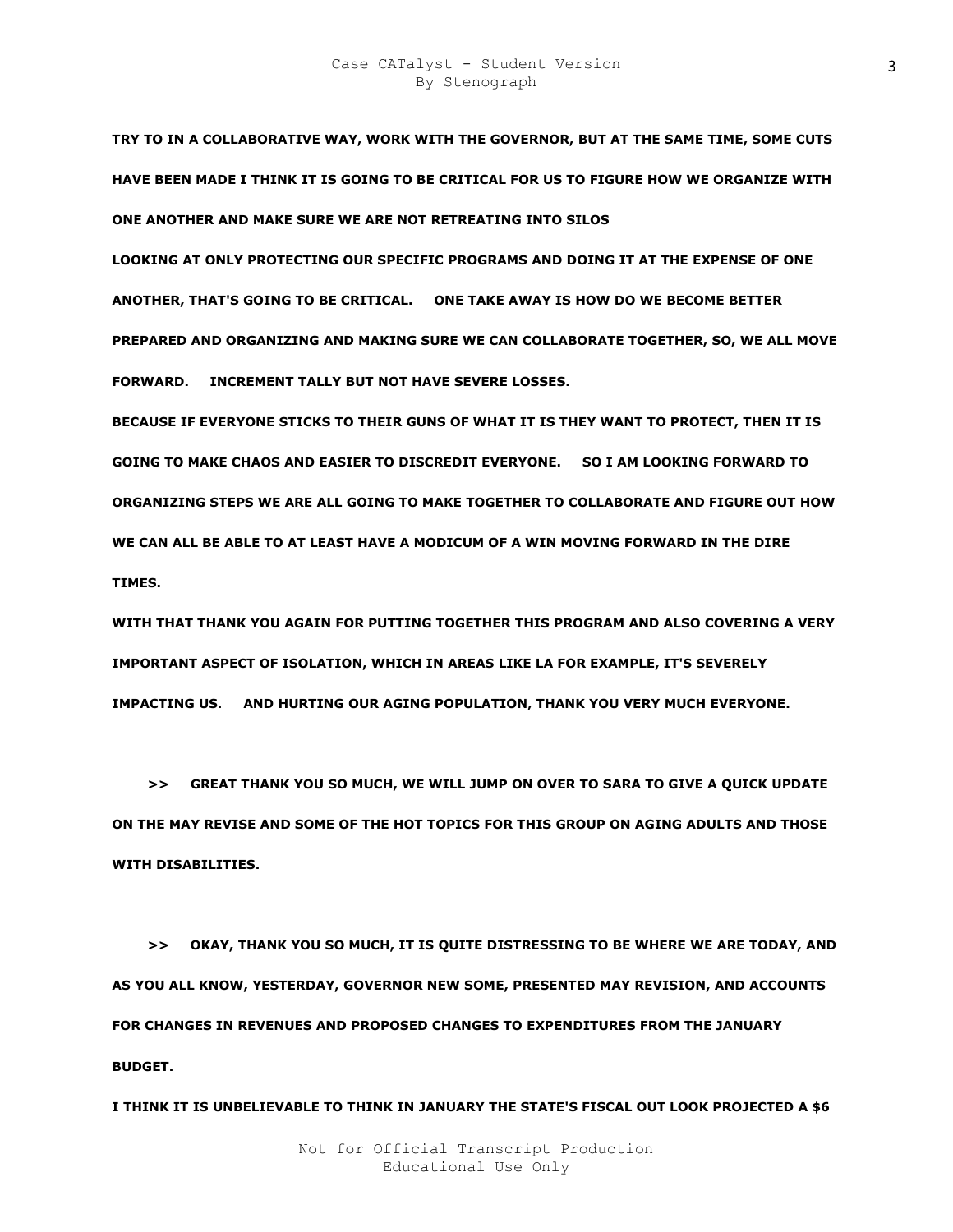**TRY TO IN A COLLABORATIVE WAY, WORK WITH THE GOVERNOR, BUT AT THE SAME TIME, SOME CUTS HAVE BEEN MADE I THINK IT IS GOING TO BE CRITICAL FOR US TO FIGURE HOW WE ORGANIZE WITH ONE ANOTHER AND MAKE SURE WE ARE NOT RETREATING INTO SILOS** 

**LOOKING AT ONLY PROTECTING OUR SPECIFIC PROGRAMS AND DOING IT AT THE EXPENSE OF ONE ANOTHER, THAT'S GOING TO BE CRITICAL. ONE TAKE AWAY IS HOW DO WE BECOME BETTER PREPARED AND ORGANIZING AND MAKING SURE WE CAN COLLABORATE TOGETHER, SO, WE ALL MOVE FORWARD. INCREMENT TALLY BUT NOT HAVE SEVERE LOSSES.** 

**BECAUSE IF EVERYONE STICKS TO THEIR GUNS OF WHAT IT IS THEY WANT TO PROTECT, THEN IT IS GOING TO MAKE CHAOS AND EASIER TO DISCREDIT EVERYONE. SO I AM LOOKING FORWARD TO ORGANIZING STEPS WE ARE ALL GOING TO MAKE TOGETHER TO COLLABORATE AND FIGURE OUT HOW WE CAN ALL BE ABLE TO AT LEAST HAVE A MODICUM OF A WIN MOVING FORWARD IN THE DIRE TIMES.** 

**WITH THAT THANK YOU AGAIN FOR PUTTING TOGETHER THIS PROGRAM AND ALSO COVERING A VERY IMPORTANT ASPECT OF ISOLATION, WHICH IN AREAS LIKE LA FOR EXAMPLE, IT'S SEVERELY IMPACTING US. AND HURTING OUR AGING POPULATION, THANK YOU VERY MUCH EVERYONE.** 

 **>> GREAT THANK YOU SO MUCH, WE WILL JUMP ON OVER TO SARA TO GIVE A QUICK UPDATE ON THE MAY REVISE AND SOME OF THE HOT TOPICS FOR THIS GROUP ON AGING ADULTS AND THOSE WITH DISABILITIES.** 

 **>> OKAY, THANK YOU SO MUCH, IT IS QUITE DISTRESSING TO BE WHERE WE ARE TODAY, AND AS YOU ALL KNOW, YESTERDAY, GOVERNOR NEW SOME, PRESENTED MAY REVISION, AND ACCOUNTS FOR CHANGES IN REVENUES AND PROPOSED CHANGES TO EXPENDITURES FROM THE JANUARY BUDGET.** 

**I THINK IT IS UNBELIEVABLE TO THINK IN JANUARY THE STATE'S FISCAL OUT LOOK PROJECTED A \$6**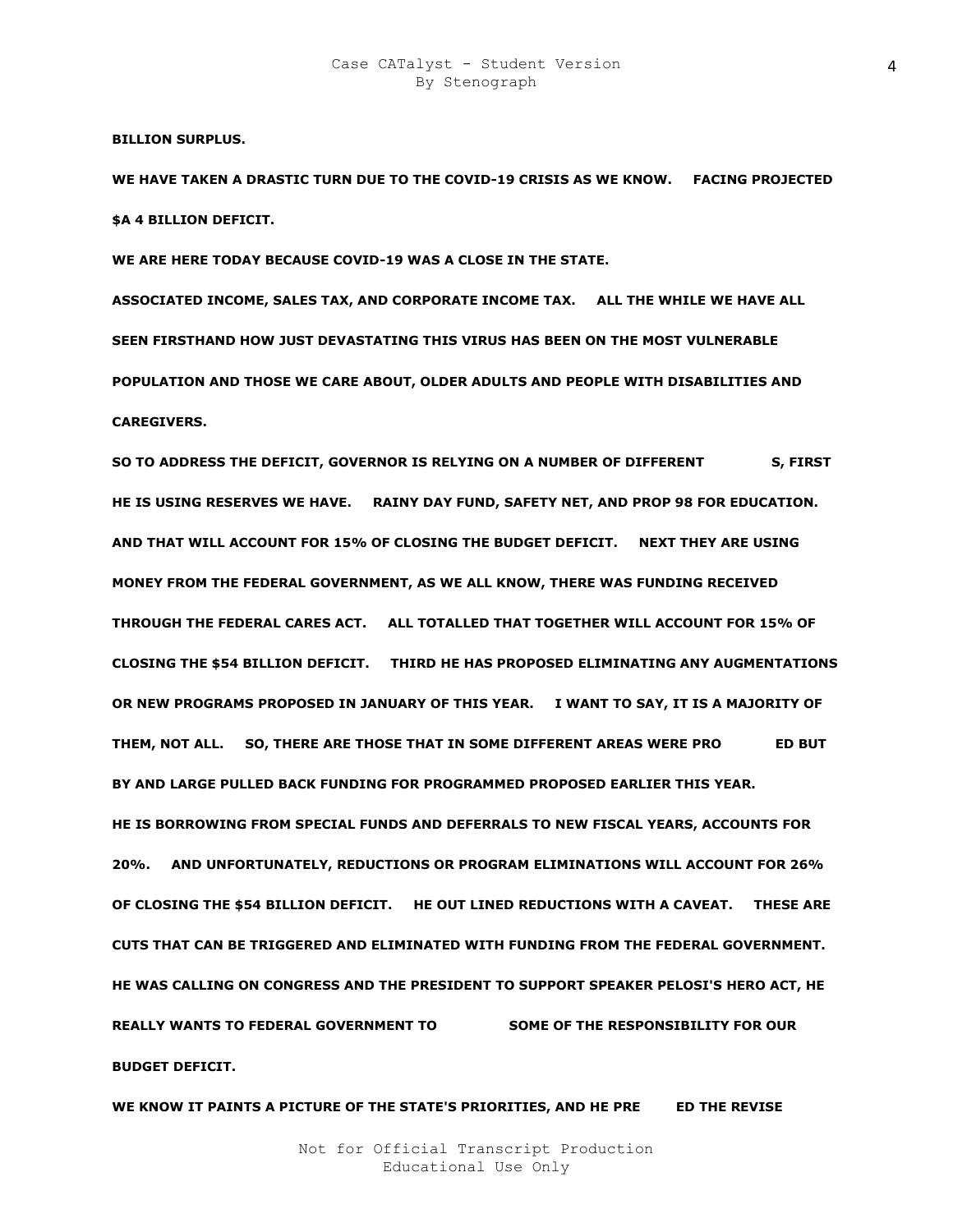**BILLION SURPLUS.** 

**WE HAVE TAKEN A DRASTIC TURN DUE TO THE COVID-19 CRISIS AS WE KNOW. FACING PROJECTED \$A 4 BILLION DEFICIT.** 

**WE ARE HERE TODAY BECAUSE COVID-19 WAS A CLOSE IN THE STATE.** 

**ASSOCIATED INCOME, SALES TAX, AND CORPORATE INCOME TAX. ALL THE WHILE WE HAVE ALL SEEN FIRSTHAND HOW JUST DEVASTATING THIS VIRUS HAS BEEN ON THE MOST VULNERABLE POPULATION AND THOSE WE CARE ABOUT, OLDER ADULTS AND PEOPLE WITH DISABILITIES AND CAREGIVERS.** 

SO TO ADDRESS THE DEFICIT, GOVERNOR IS RELYING ON A NUMBER OF DIFFERENT S, FIRST **HE IS USING RESERVES WE HAVE. RAINY DAY FUND, SAFETY NET, AND PROP 98 FOR EDUCATION. AND THAT WILL ACCOUNT FOR 15% OF CLOSING THE BUDGET DEFICIT. NEXT THEY ARE USING MONEY FROM THE FEDERAL GOVERNMENT, AS WE ALL KNOW, THERE WAS FUNDING RECEIVED THROUGH THE FEDERAL CARES ACT. ALL TOTALLED THAT TOGETHER WILL ACCOUNT FOR 15% OF CLOSING THE \$54 BILLION DEFICIT. THIRD HE HAS PROPOSED ELIMINATING ANY AUGMENTATIONS OR NEW PROGRAMS PROPOSED IN JANUARY OF THIS YEAR. I WANT TO SAY, IT IS A MAJORITY OF**  THEM, NOT ALL. SO, THERE ARE THOSE THAT IN SOME DIFFERENT AREAS WERE PRO **ED BUT BY AND LARGE PULLED BACK FUNDING FOR PROGRAMMED PROPOSED EARLIER THIS YEAR. HE IS BORROWING FROM SPECIAL FUNDS AND DEFERRALS TO NEW FISCAL YEARS, ACCOUNTS FOR 20%. AND UNFORTUNATELY, REDUCTIONS OR PROGRAM ELIMINATIONS WILL ACCOUNT FOR 26% OF CLOSING THE \$54 BILLION DEFICIT. HE OUT LINED REDUCTIONS WITH A CAVEAT. THESE ARE CUTS THAT CAN BE TRIGGERED AND ELIMINATED WITH FUNDING FROM THE FEDERAL GOVERNMENT. HE WAS CALLING ON CONGRESS AND THE PRESIDENT TO SUPPORT SPEAKER PELOSI'S HERO ACT, HE REALLY WANTS TO FEDERAL GOVERNMENT TO MAP TAN SOME OF THE RESPONSIBILITY FOR OUR BUDGET DEFICIT.** 

WE KNOW IT PAINTS A PICTURE OF THE STATE'S PRIORITIES, AND HE PRE ED THE REVISE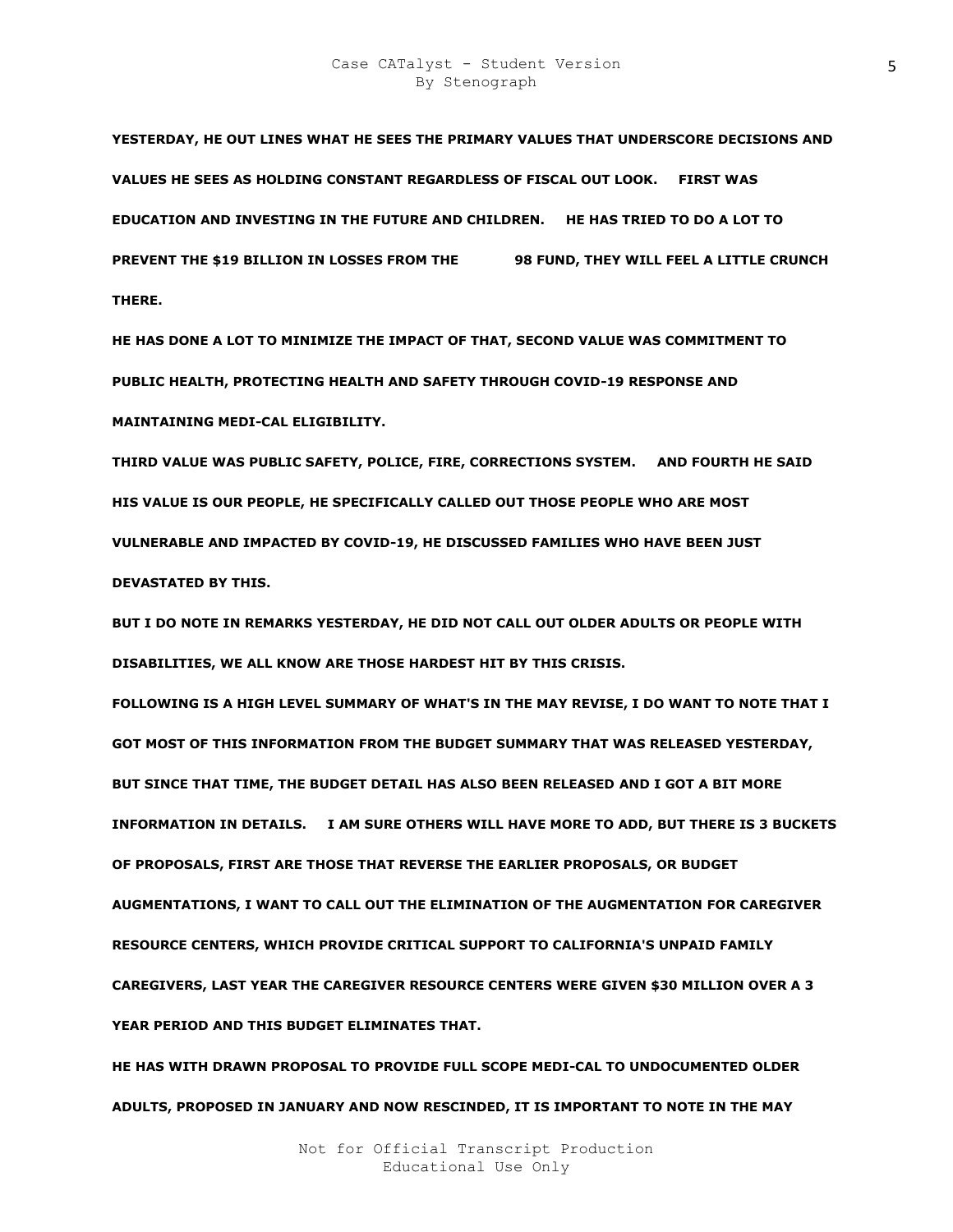**YESTERDAY, HE OUT LINES WHAT HE SEES THE PRIMARY VALUES THAT UNDERSCORE DECISIONS AND VALUES HE SEES AS HOLDING CONSTANT REGARDLESS OF FISCAL OUT LOOK. FIRST WAS EDUCATION AND INVESTING IN THE FUTURE AND CHILDREN. HE HAS TRIED TO DO A LOT TO PREVENT THE \$19 BILLION IN LOSSES FROM THE 98 FUND, THEY WILL FEEL A LITTLE CRUNCH THERE.** 

**HE HAS DONE A LOT TO MINIMIZE THE IMPACT OF THAT, SECOND VALUE WAS COMMITMENT TO PUBLIC HEALTH, PROTECTING HEALTH AND SAFETY THROUGH COVID-19 RESPONSE AND MAINTAINING MEDI-CAL ELIGIBILITY.** 

**THIRD VALUE WAS PUBLIC SAFETY, POLICE, FIRE, CORRECTIONS SYSTEM. AND FOURTH HE SAID HIS VALUE IS OUR PEOPLE, HE SPECIFICALLY CALLED OUT THOSE PEOPLE WHO ARE MOST VULNERABLE AND IMPACTED BY COVID-19, HE DISCUSSED FAMILIES WHO HAVE BEEN JUST DEVASTATED BY THIS.** 

**BUT I DO NOTE IN REMARKS YESTERDAY, HE DID NOT CALL OUT OLDER ADULTS OR PEOPLE WITH DISABILITIES, WE ALL KNOW ARE THOSE HARDEST HIT BY THIS CRISIS.** 

**FOLLOWING IS A HIGH LEVEL SUMMARY OF WHAT'S IN THE MAY REVISE, I DO WANT TO NOTE THAT I GOT MOST OF THIS INFORMATION FROM THE BUDGET SUMMARY THAT WAS RELEASED YESTERDAY, BUT SINCE THAT TIME, THE BUDGET DETAIL HAS ALSO BEEN RELEASED AND I GOT A BIT MORE INFORMATION IN DETAILS. I AM SURE OTHERS WILL HAVE MORE TO ADD, BUT THERE IS 3 BUCKETS OF PROPOSALS, FIRST ARE THOSE THAT REVERSE THE EARLIER PROPOSALS, OR BUDGET AUGMENTATIONS, I WANT TO CALL OUT THE ELIMINATION OF THE AUGMENTATION FOR CAREGIVER RESOURCE CENTERS, WHICH PROVIDE CRITICAL SUPPORT TO CALIFORNIA'S UNPAID FAMILY CAREGIVERS, LAST YEAR THE CAREGIVER RESOURCE CENTERS WERE GIVEN \$30 MILLION OVER A 3 YEAR PERIOD AND THIS BUDGET ELIMINATES THAT.** 

**HE HAS WITH DRAWN PROPOSAL TO PROVIDE FULL SCOPE MEDI-CAL TO UNDOCUMENTED OLDER ADULTS, PROPOSED IN JANUARY AND NOW RESCINDED, IT IS IMPORTANT TO NOTE IN THE MAY**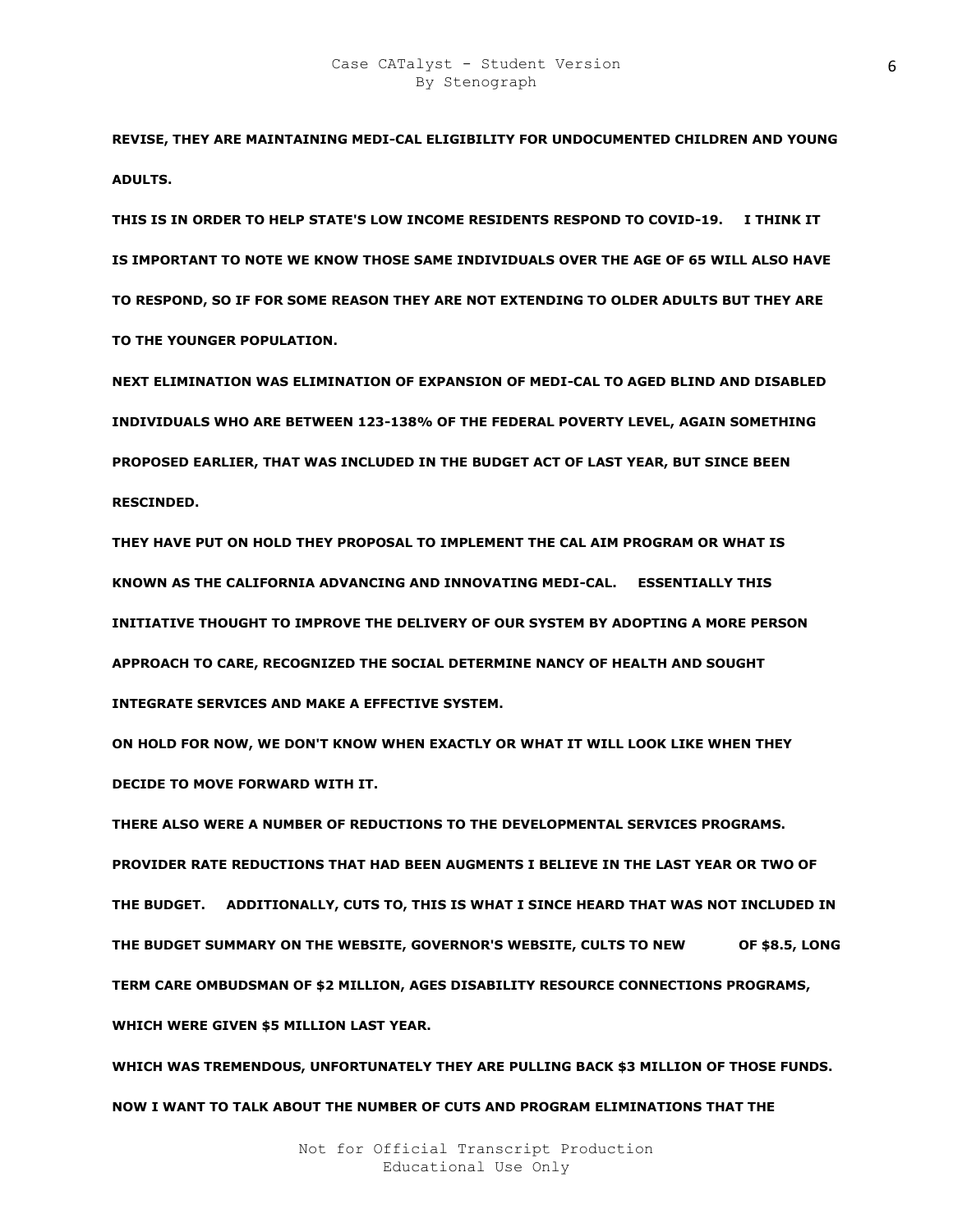**REVISE, THEY ARE MAINTAINING MEDI-CAL ELIGIBILITY FOR UNDOCUMENTED CHILDREN AND YOUNG ADULTS.** 

**THIS IS IN ORDER TO HELP STATE'S LOW INCOME RESIDENTS RESPOND TO COVID-19. I THINK IT IS IMPORTANT TO NOTE WE KNOW THOSE SAME INDIVIDUALS OVER THE AGE OF 65 WILL ALSO HAVE TO RESPOND, SO IF FOR SOME REASON THEY ARE NOT EXTENDING TO OLDER ADULTS BUT THEY ARE TO THE YOUNGER POPULATION.** 

**NEXT ELIMINATION WAS ELIMINATION OF EXPANSION OF MEDI-CAL TO AGED BLIND AND DISABLED INDIVIDUALS WHO ARE BETWEEN 123-138% OF THE FEDERAL POVERTY LEVEL, AGAIN SOMETHING PROPOSED EARLIER, THAT WAS INCLUDED IN THE BUDGET ACT OF LAST YEAR, BUT SINCE BEEN RESCINDED.** 

**THEY HAVE PUT ON HOLD THEY PROPOSAL TO IMPLEMENT THE CAL AIM PROGRAM OR WHAT IS KNOWN AS THE CALIFORNIA ADVANCING AND INNOVATING MEDI-CAL. ESSENTIALLY THIS INITIATIVE THOUGHT TO IMPROVE THE DELIVERY OF OUR SYSTEM BY ADOPTING A MORE PERSON APPROACH TO CARE, RECOGNIZED THE SOCIAL DETERMINE NANCY OF HEALTH AND SOUGHT O INTEGRATE SERVICES AND MAKE A EFFECTIVE SYSTEM.** 

**ON HOLD FOR NOW, WE DON'T KNOW WHEN EXACTLY OR WHAT IT WILL LOOK LIKE WHEN THEY DECIDE TO MOVE FORWARD WITH IT.** 

**THERE ALSO WERE A NUMBER OF REDUCTIONS TO THE DEVELOPMENTAL SERVICES PROGRAMS. PROVIDER RATE REDUCTIONS THAT HAD BEEN AUGMENTS I BELIEVE IN THE LAST YEAR OR TWO OF THE BUDGET. ADDITIONALLY, CUTS TO, THIS IS WHAT I SINCE HEARD THAT WAS NOT INCLUDED IN THE BUDGET SUMMARY ON THE WEBSITE, GOVERNOR'S WEBSITE, CULTS TO NEW TRIGS OF \$8.5, LONG TERM CARE OMBUDSMAN OF \$2 MILLION, AGES DISABILITY RESOURCE CONNECTIONS PROGRAMS, WHICH WERE GIVEN \$5 MILLION LAST YEAR.** 

**WHICH WAS TREMENDOUS, UNFORTUNATELY THEY ARE PULLING BACK \$3 MILLION OF THOSE FUNDS. NOW I WANT TO TALK ABOUT THE NUMBER OF CUTS AND PROGRAM ELIMINATIONS THAT THE**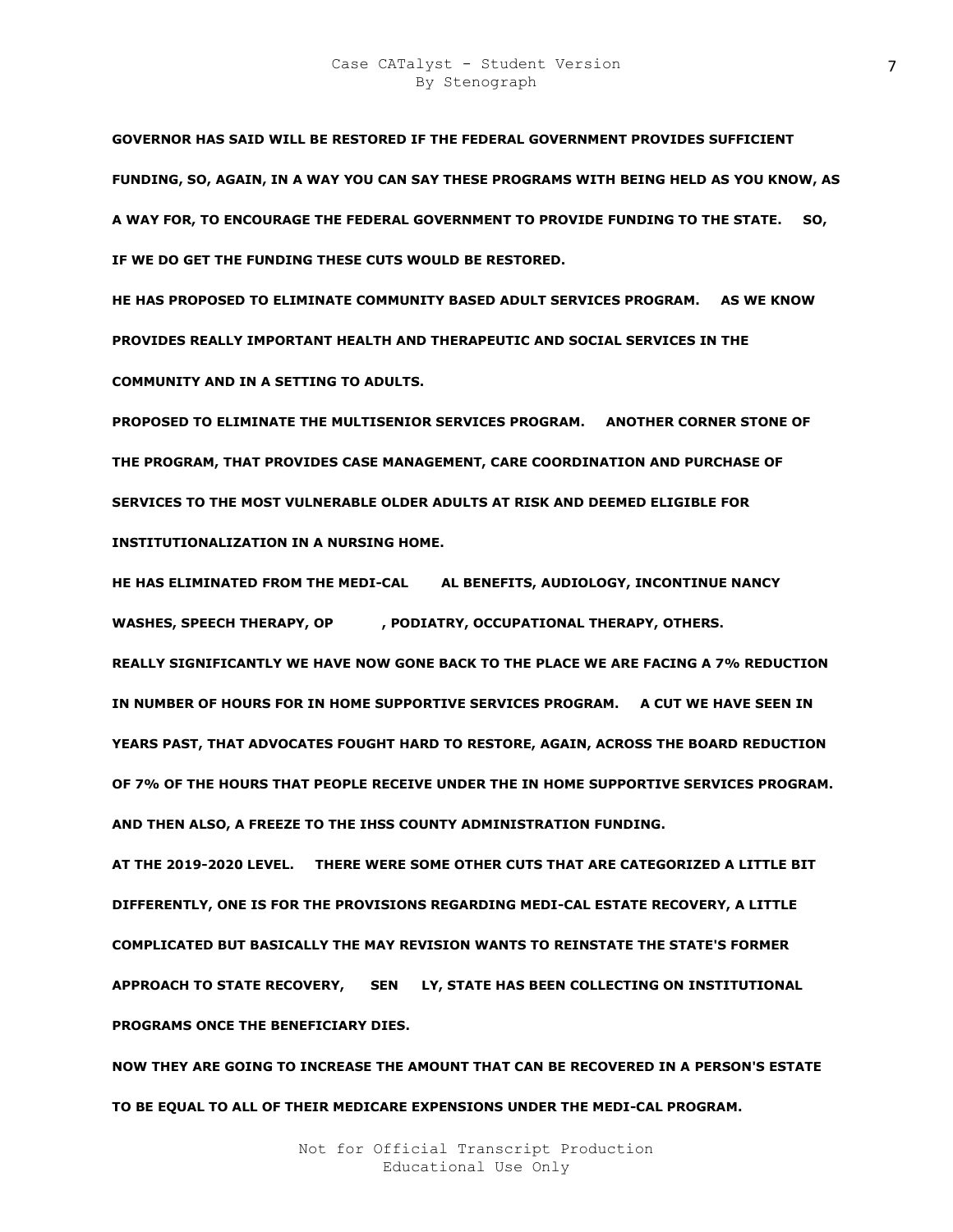**GOVERNOR HAS SAID WILL BE RESTORED IF THE FEDERAL GOVERNMENT PROVIDES SUFFICIENT FUNDING, SO, AGAIN, IN A WAY YOU CAN SAY THESE PROGRAMS WITH BEING HELD AS YOU KNOW, AS A WAY FOR, TO ENCOURAGE THE FEDERAL GOVERNMENT TO PROVIDE FUNDING TO THE STATE. SO, IF WE DO GET THE FUNDING THESE CUTS WOULD BE RESTORED.** 

**HE HAS PROPOSED TO ELIMINATE COMMUNITY BASED ADULT SERVICES PROGRAM. AS WE KNOW PROVIDES REALLY IMPORTANT HEALTH AND THERAPEUTIC AND SOCIAL SERVICES IN THE COMMUNITY AND IN A SETTING TO ADULTS.** 

**PROPOSED TO ELIMINATE THE MULTISENIOR SERVICES PROGRAM. ANOTHER CORNER STONE OF THE PROGRAM, THAT PROVIDES CASE MANAGEMENT, CARE COORDINATION AND PURCHASE OF SERVICES TO THE MOST VULNERABLE OLDER ADULTS AT RISK AND DEEMED ELIGIBLE FOR INSTITUTIONALIZATION IN A NURSING HOME.** 

HE HAS ELIMINATED FROM THE MEDI-CAL AL BENEFITS, AUDIOLOGY, INCONTINUE NANCY WASHES, SPEECH THERAPY, OP , PODIATRY, OCCUPATIONAL THERAPY, OTHERS. **REALLY SIGNIFICANTLY WE HAVE NOW GONE BACK TO THE PLACE WE ARE FACING A 7% REDUCTION IN NUMBER OF HOURS FOR IN HOME SUPPORTIVE SERVICES PROGRAM. A CUT WE HAVE SEEN IN YEARS PAST, THAT ADVOCATES FOUGHT HARD TO RESTORE, AGAIN, ACROSS THE BOARD REDUCTION OF 7% OF THE HOURS THAT PEOPLE RECEIVE UNDER THE IN HOME SUPPORTIVE SERVICES PROGRAM. AND THEN ALSO, A FREEZE TO THE IHSS COUNTY ADMINISTRATION FUNDING.** 

**AT THE 2019-2020 LEVEL. THERE WERE SOME OTHER CUTS THAT ARE CATEGORIZED A LITTLE BIT DIFFERENTLY, ONE IS FOR THE PROVISIONS REGARDING MEDI-CAL ESTATE RECOVERY, A LITTLE COMPLICATED BUT BASICALLY THE MAY REVISION WANTS TO REINSTATE THE STATE'S FORMER**  APPROACH TO STATE RECOVERY, SEN LY, STATE HAS BEEN COLLECTING ON INSTITUTIONAL **PROGRAMS ONCE THE BENEFICIARY DIES.** 

**NOW THEY ARE GOING TO INCREASE THE AMOUNT THAT CAN BE RECOVERED IN A PERSON'S ESTATE TO BE EQUAL TO ALL OF THEIR MEDICARE EXPENSIONS UNDER THE MEDI-CAL PROGRAM.**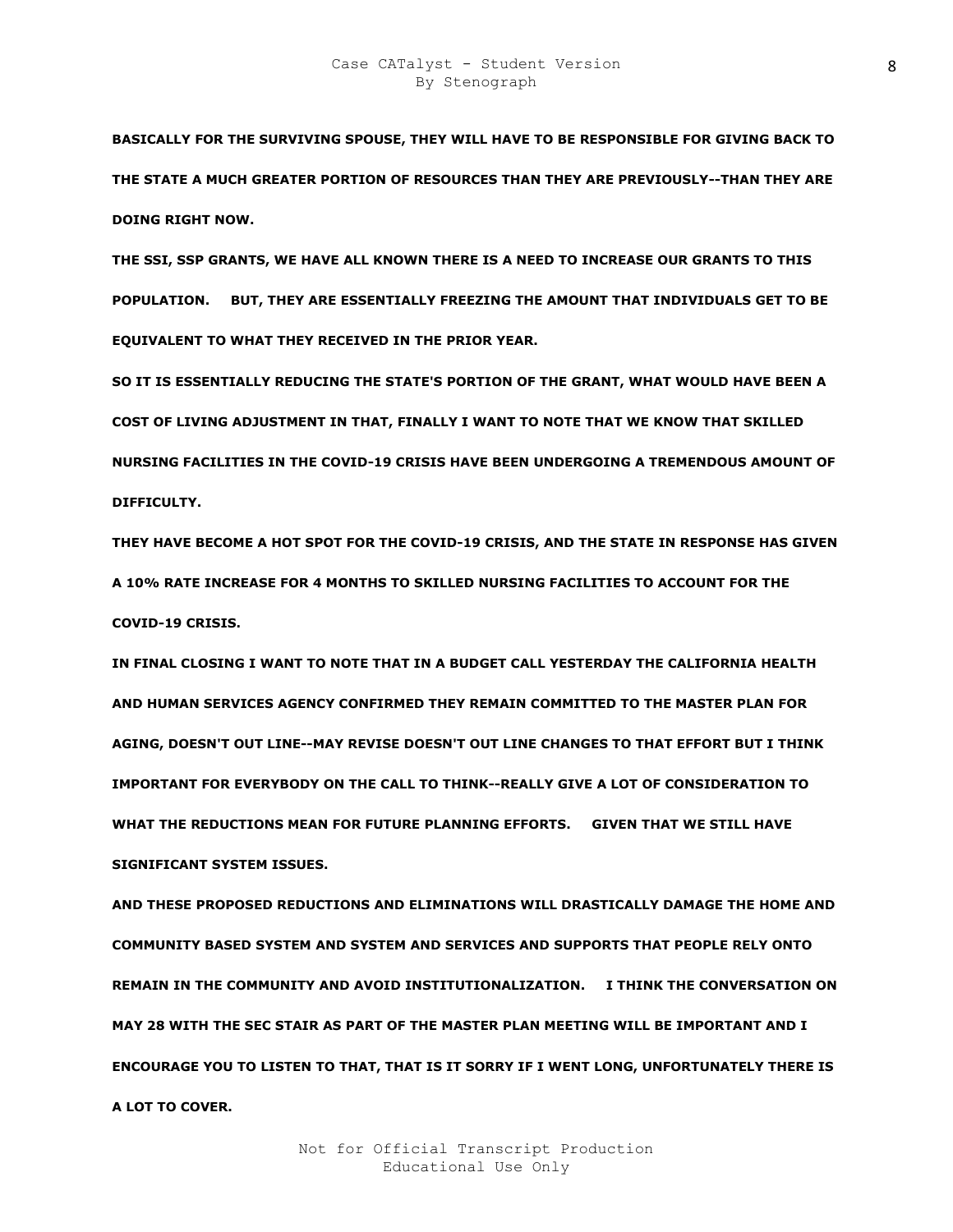**BASICALLY FOR THE SURVIVING SPOUSE, THEY WILL HAVE TO BE RESPONSIBLE FOR GIVING BACK TO THE STATE A MUCH GREATER PORTION OF RESOURCES THAN THEY ARE PREVIOUSLY--THAN THEY ARE DOING RIGHT NOW.** 

**THE SSI, SSP GRANTS, WE HAVE ALL KNOWN THERE IS A NEED TO INCREASE OUR GRANTS TO THIS POPULATION. BUT, THEY ARE ESSENTIALLY FREEZING THE AMOUNT THAT INDIVIDUALS GET TO BE EQUIVALENT TO WHAT THEY RECEIVED IN THE PRIOR YEAR.** 

**SO IT IS ESSENTIALLY REDUCING THE STATE'S PORTION OF THE GRANT, WHAT WOULD HAVE BEEN A COST OF LIVING ADJUSTMENT IN THAT, FINALLY I WANT TO NOTE THAT WE KNOW THAT SKILLED NURSING FACILITIES IN THE COVID-19 CRISIS HAVE BEEN UNDERGOING A TREMENDOUS AMOUNT OF DIFFICULTY.** 

**THEY HAVE BECOME A HOT SPOT FOR THE COVID-19 CRISIS, AND THE STATE IN RESPONSE HAS GIVEN A 10% RATE INCREASE FOR 4 MONTHS TO SKILLED NURSING FACILITIES TO ACCOUNT FOR THE COVID-19 CRISIS.** 

**IN FINAL CLOSING I WANT TO NOTE THAT IN A BUDGET CALL YESTERDAY THE CALIFORNIA HEALTH AND HUMAN SERVICES AGENCY CONFIRMED THEY REMAIN COMMITTED TO THE MASTER PLAN FOR AGING, DOESN'T OUT LINE--MAY REVISE DOESN'T OUT LINE CHANGES TO THAT EFFORT BUT I THINK IMPORTANT FOR EVERYBODY ON THE CALL TO THINK--REALLY GIVE A LOT OF CONSIDERATION TO WHAT THE REDUCTIONS MEAN FOR FUTURE PLANNING EFFORTS. GIVEN THAT WE STILL HAVE SIGNIFICANT SYSTEM ISSUES.** 

**AND THESE PROPOSED REDUCTIONS AND ELIMINATIONS WILL DRASTICALLY DAMAGE THE HOME AND COMMUNITY BASED SYSTEM AND SYSTEM AND SERVICES AND SUPPORTS THAT PEOPLE RELY ONTO REMAIN IN THE COMMUNITY AND AVOID INSTITUTIONALIZATION. I THINK THE CONVERSATION ON MAY 28 WITH THE SEC STAIR AS PART OF THE MASTER PLAN MEETING WILL BE IMPORTANT AND I ENCOURAGE YOU TO LISTEN TO THAT, THAT IS IT SORRY IF I WENT LONG, UNFORTUNATELY THERE IS A LOT TO COVER.**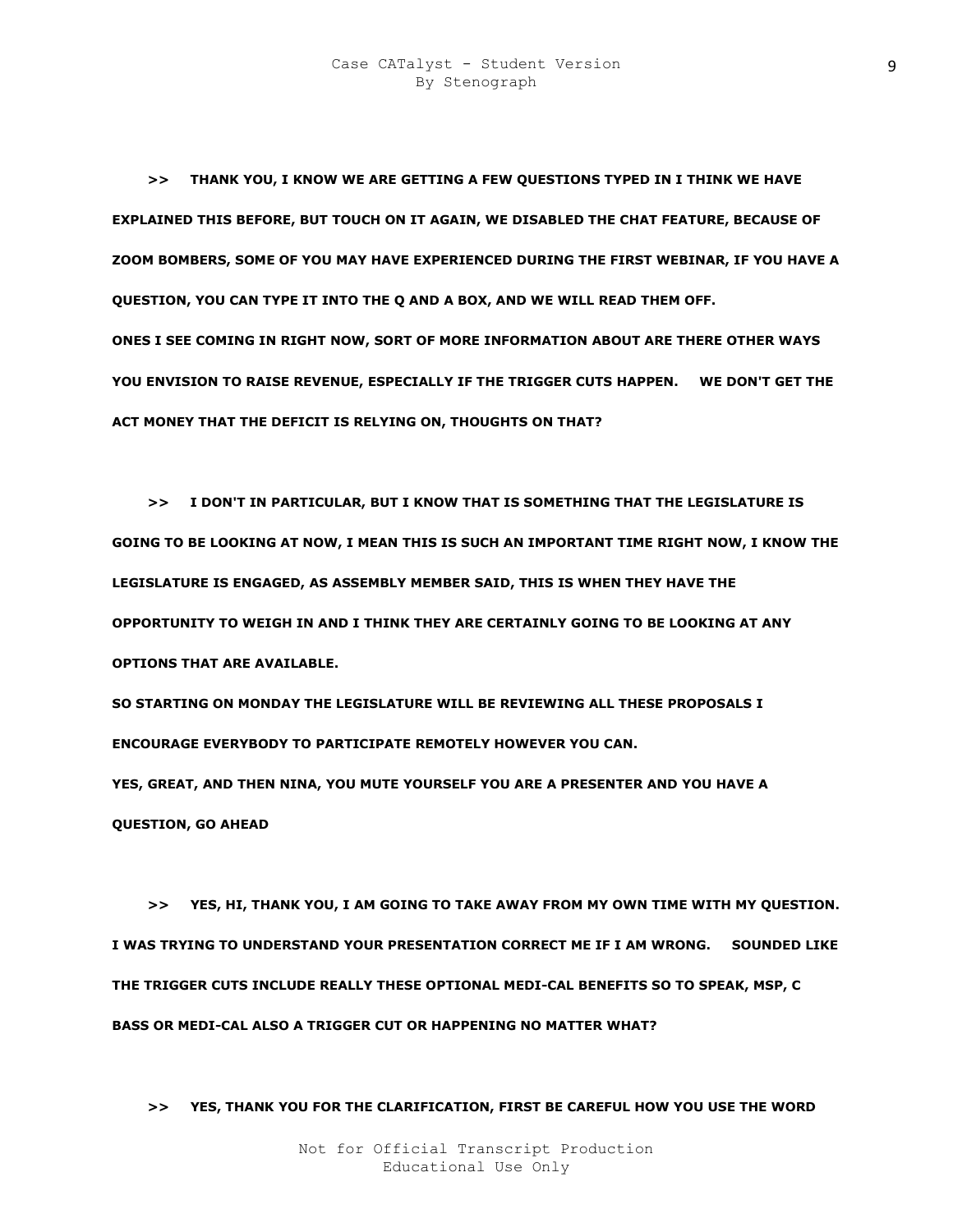**>> THANK YOU, I KNOW WE ARE GETTING A FEW QUESTIONS TYPED IN I THINK WE HAVE EXPLAINED THIS BEFORE, BUT TOUCH ON IT AGAIN, WE DISABLED THE CHAT FEATURE, BECAUSE OF ZOOM BOMBERS, SOME OF YOU MAY HAVE EXPERIENCED DURING THE FIRST WEBINAR, IF YOU HAVE A QUESTION, YOU CAN TYPE IT INTO THE Q AND A BOX, AND WE WILL READ THEM OFF. ONES I SEE COMING IN RIGHT NOW, SORT OF MORE INFORMATION ABOUT ARE THERE OTHER WAYS YOU ENVISION TO RAISE REVENUE, ESPECIALLY IF THE TRIGGER CUTS HAPPEN. WE DON'T GET THE ACT MONEY THAT THE DEFICIT IS RELYING ON, THOUGHTS ON THAT?** 

 **>> I DON'T IN PARTICULAR, BUT I KNOW THAT IS SOMETHING THAT THE LEGISLATURE IS GOING TO BE LOOKING AT NOW, I MEAN THIS IS SUCH AN IMPORTANT TIME RIGHT NOW, I KNOW THE LEGISLATURE IS ENGAGED, AS ASSEMBLY MEMBER SAID, THIS IS WHEN THEY HAVE THE OPPORTUNITY TO WEIGH IN AND I THINK THEY ARE CERTAINLY GOING TO BE LOOKING AT ANY OPTIONS THAT ARE AVAILABLE.** 

**SO STARTING ON MONDAY THE LEGISLATURE WILL BE REVIEWING ALL THESE PROPOSALS I ENCOURAGE EVERYBODY TO PARTICIPATE REMOTELY HOWEVER YOU CAN.** 

**YES, GREAT, AND THEN NINA, YOU MUTE YOURSELF YOU ARE A PRESENTER AND YOU HAVE A QUESTION, GO AHEAD** 

 **>> YES, HI, THANK YOU, I AM GOING TO TAKE AWAY FROM MY OWN TIME WITH MY QUESTION. I WAS TRYING TO UNDERSTAND YOUR PRESENTATION CORRECT ME IF I AM WRONG. SOUNDED LIKE THE TRIGGER CUTS INCLUDE REALLY THESE OPTIONAL MEDI-CAL BENEFITS SO TO SPEAK, MSP, C BASS OR MEDI-CAL ALSO A TRIGGER CUT OR HAPPENING NO MATTER WHAT?** 

 **>> YES, THANK YOU FOR THE CLARIFICATION, FIRST BE CAREFUL HOW YOU USE THE WORD**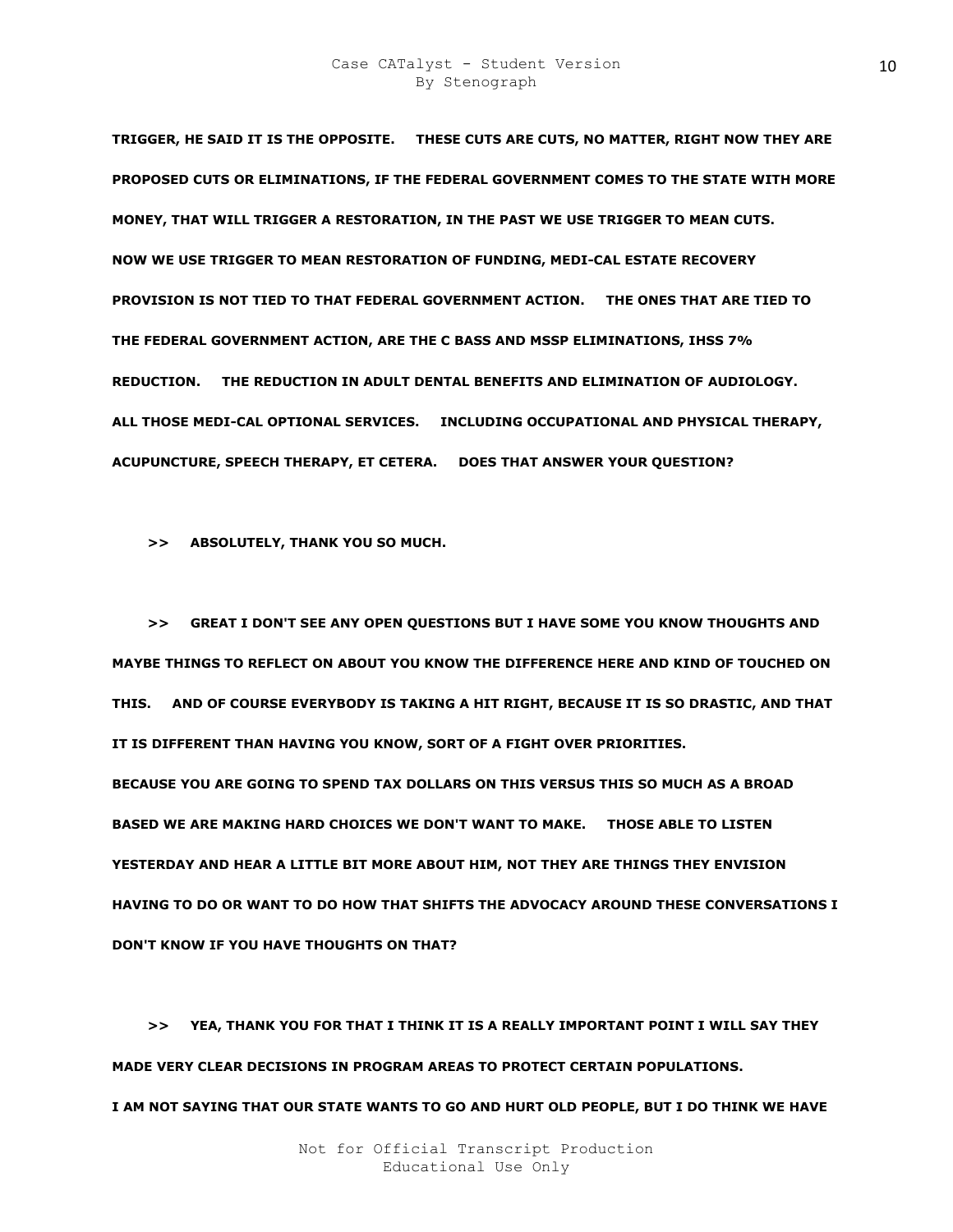**TRIGGER, HE SAID IT IS THE OPPOSITE. THESE CUTS ARE CUTS, NO MATTER, RIGHT NOW THEY ARE PROPOSED CUTS OR ELIMINATIONS, IF THE FEDERAL GOVERNMENT COMES TO THE STATE WITH MORE MONEY, THAT WILL TRIGGER A RESTORATION, IN THE PAST WE USE TRIGGER TO MEAN CUTS. NOW WE USE TRIGGER TO MEAN RESTORATION OF FUNDING, MEDI-CAL ESTATE RECOVERY PROVISION IS NOT TIED TO THAT FEDERAL GOVERNMENT ACTION. THE ONES THAT ARE TIED TO THE FEDERAL GOVERNMENT ACTION, ARE THE C BASS AND MSSP ELIMINATIONS, IHSS 7% REDUCTION. THE REDUCTION IN ADULT DENTAL BENEFITS AND ELIMINATION OF AUDIOLOGY. ALL THOSE MEDI-CAL OPTIONAL SERVICES. INCLUDING OCCUPATIONAL AND PHYSICAL THERAPY, ACUPUNCTURE, SPEECH THERAPY, ET CETERA. DOES THAT ANSWER YOUR QUESTION?** 

 **>> ABSOLUTELY, THANK YOU SO MUCH.** 

 **>> GREAT I DON'T SEE ANY OPEN QUESTIONS BUT I HAVE SOME YOU KNOW THOUGHTS AND MAYBE THINGS TO REFLECT ON ABOUT YOU KNOW THE DIFFERENCE HERE AND KIND OF TOUCHED ON THIS. AND OF COURSE EVERYBODY IS TAKING A HIT RIGHT, BECAUSE IT IS SO DRASTIC, AND THAT IT IS DIFFERENT THAN HAVING YOU KNOW, SORT OF A FIGHT OVER PRIORITIES. BECAUSE YOU ARE GOING TO SPEND TAX DOLLARS ON THIS VERSUS THIS SO MUCH AS A BROAD BASED WE ARE MAKING HARD CHOICES WE DON'T WANT TO MAKE. THOSE ABLE TO LISTEN YESTERDAY AND HEAR A LITTLE BIT MORE ABOUT HIM, NOT THEY ARE THINGS THEY ENVISION HAVING TO DO OR WANT TO DO HOW THAT SHIFTS THE ADVOCACY AROUND THESE CONVERSATIONS I DON'T KNOW IF YOU HAVE THOUGHTS ON THAT?** 

 **>> YEA, THANK YOU FOR THAT I THINK IT IS A REALLY IMPORTANT POINT I WILL SAY THEY MADE VERY CLEAR DECISIONS IN PROGRAM AREAS TO PROTECT CERTAIN POPULATIONS. I AM NOT SAYING THAT OUR STATE WANTS TO GO AND HURT OLD PEOPLE, BUT I DO THINK WE HAVE**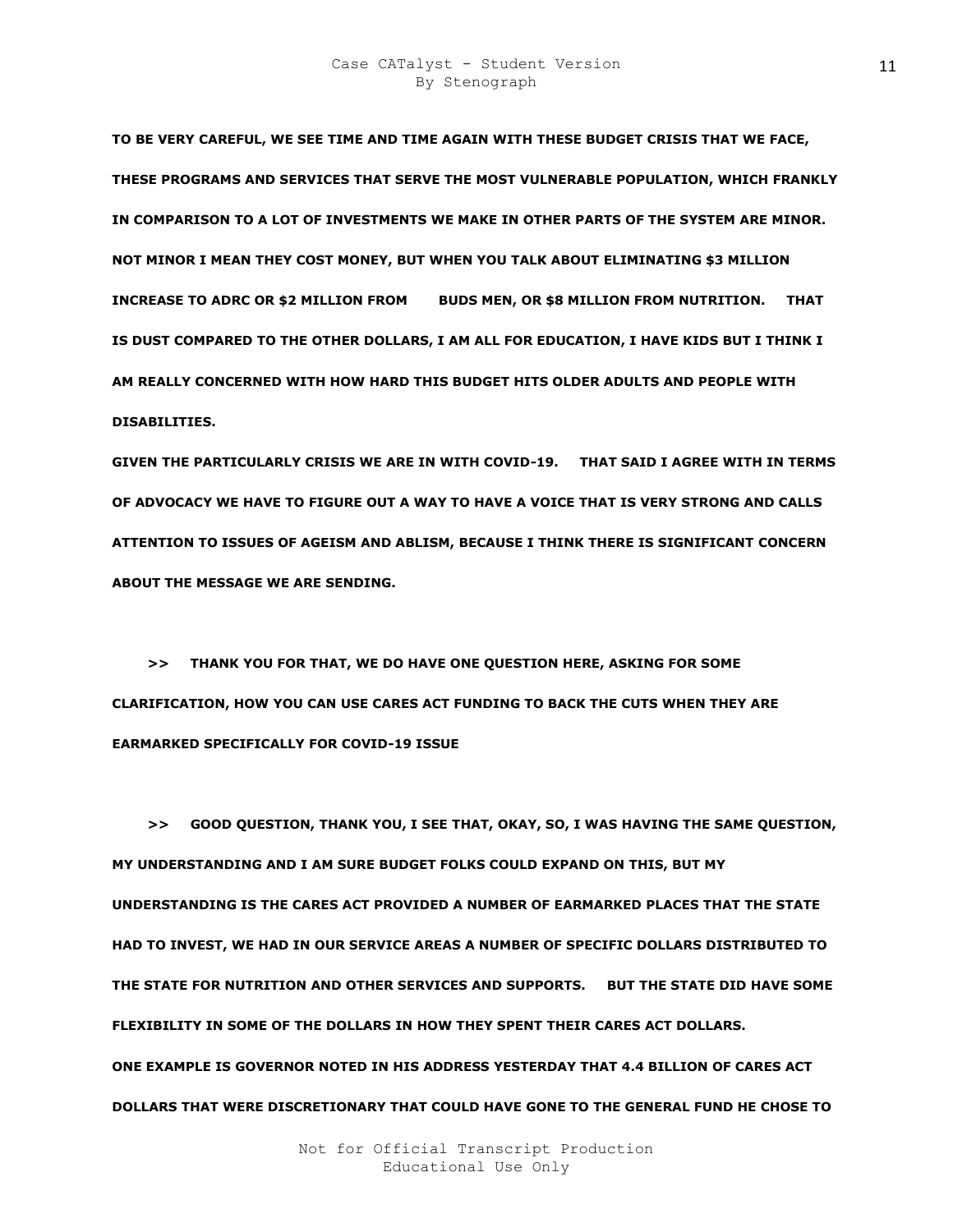**TO BE VERY CAREFUL, WE SEE TIME AND TIME AGAIN WITH THESE BUDGET CRISIS THAT WE FACE, THESE PROGRAMS AND SERVICES THAT SERVE THE MOST VULNERABLE POPULATION, WHICH FRANKLY IN COMPARISON TO A LOT OF INVESTMENTS WE MAKE IN OTHER PARTS OF THE SYSTEM ARE MINOR. NOT MINOR I MEAN THEY COST MONEY, BUT WHEN YOU TALK ABOUT ELIMINATING \$3 MILLION INCREASE TO ADRC OR \$2 MILLION FROM BUDS MEN, OR \$8 MILLION FROM NUTRITION. THAT IS DUST COMPARED TO THE OTHER DOLLARS, I AM ALL FOR EDUCATION, I HAVE KIDS BUT I THINK I AM REALLY CONCERNED WITH HOW HARD THIS BUDGET HITS OLDER ADULTS AND PEOPLE WITH DISABILITIES.** 

**GIVEN THE PARTICULARLY CRISIS WE ARE IN WITH COVID-19. THAT SAID I AGREE WITH IN TERMS OF ADVOCACY WE HAVE TO FIGURE OUT A WAY TO HAVE A VOICE THAT IS VERY STRONG AND CALLS ATTENTION TO ISSUES OF AGEISM AND ABLISM, BECAUSE I THINK THERE IS SIGNIFICANT CONCERN ABOUT THE MESSAGE WE ARE SENDING.** 

 **>> THANK YOU FOR THAT, WE DO HAVE ONE QUESTION HERE, ASKING FOR SOME CLARIFICATION, HOW YOU CAN USE CARES ACT FUNDING TO BACK THE CUTS WHEN THEY ARE EARMARKED SPECIFICALLY FOR COVID-19 ISSUE** 

 **>> GOOD QUESTION, THANK YOU, I SEE THAT, OKAY, SO, I WAS HAVING THE SAME QUESTION, MY UNDERSTANDING AND I AM SURE BUDGET FOLKS COULD EXPAND ON THIS, BUT MY UNDERSTANDING IS THE CARES ACT PROVIDED A NUMBER OF EARMARKED PLACES THAT THE STATE HAD TO INVEST, WE HAD IN OUR SERVICE AREAS A NUMBER OF SPECIFIC DOLLARS DISTRIBUTED TO THE STATE FOR NUTRITION AND OTHER SERVICES AND SUPPORTS. BUT THE STATE DID HAVE SOME FLEXIBILITY IN SOME OF THE DOLLARS IN HOW THEY SPENT THEIR CARES ACT DOLLARS. ONE EXAMPLE IS GOVERNOR NOTED IN HIS ADDRESS YESTERDAY THAT 4.4 BILLION OF CARES ACT DOLLARS THAT WERE DISCRETIONARY THAT COULD HAVE GONE TO THE GENERAL FUND HE CHOSE TO**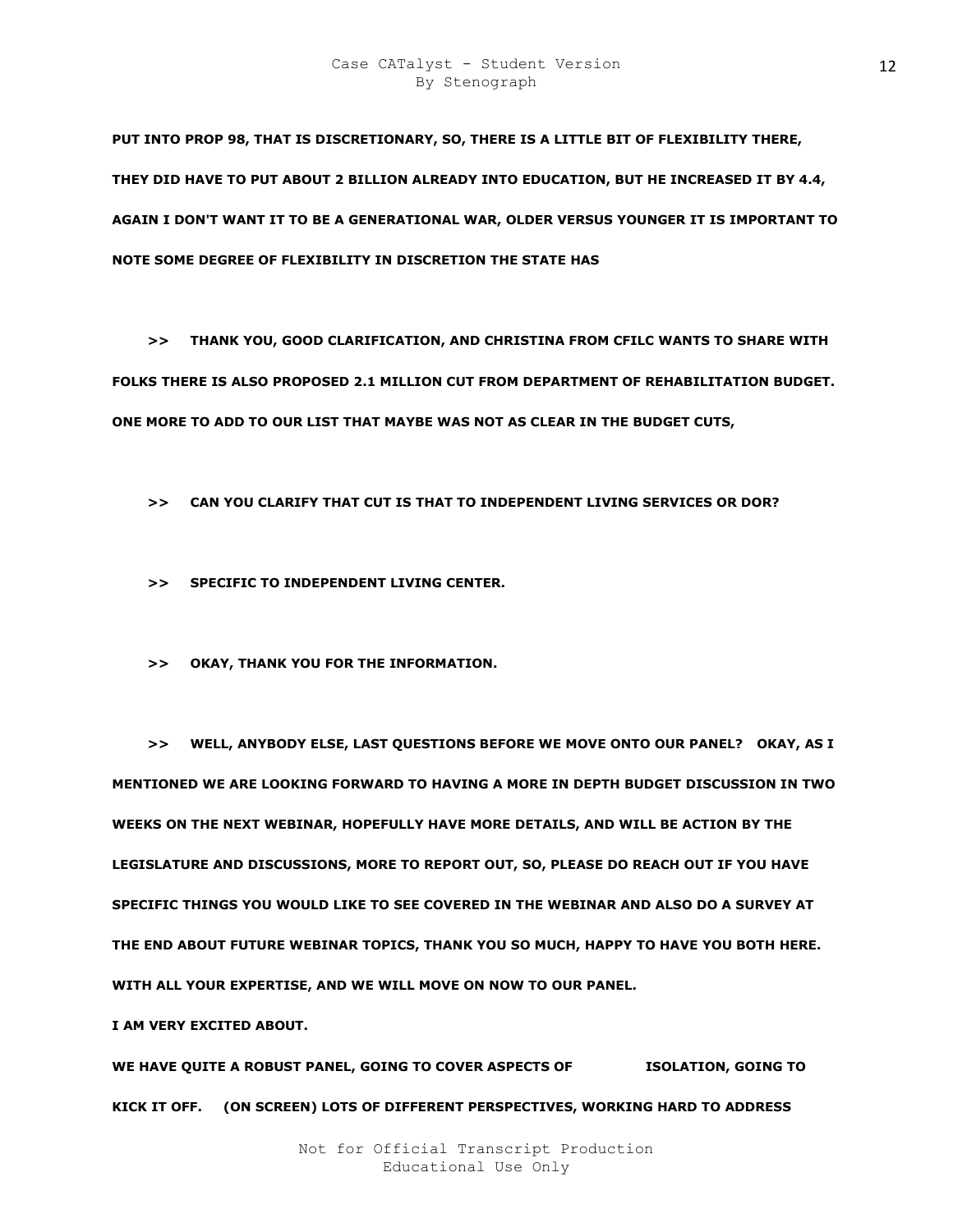**PUT INTO PROP 98, THAT IS DISCRETIONARY, SO, THERE IS A LITTLE BIT OF FLEXIBILITY THERE, THEY DID HAVE TO PUT ABOUT 2 BILLION ALREADY INTO EDUCATION, BUT HE INCREASED IT BY 4.4, AGAIN I DON'T WANT IT TO BE A GENERATIONAL WAR, OLDER VERSUS YOUNGER IT IS IMPORTANT TO NOTE SOME DEGREE OF FLEXIBILITY IN DISCRETION THE STATE HAS** 

 **>> THANK YOU, GOOD CLARIFICATION, AND CHRISTINA FROM CFILC WANTS TO SHARE WITH FOLKS THERE IS ALSO PROPOSED 2.1 MILLION CUT FROM DEPARTMENT OF REHABILITATION BUDGET. ONE MORE TO ADD TO OUR LIST THAT MAYBE WAS NOT AS CLEAR IN THE BUDGET CUTS,** 

 **>> CAN YOU CLARIFY THAT CUT IS THAT TO INDEPENDENT LIVING SERVICES OR DOR?** 

 **>> SPECIFIC TO INDEPENDENT LIVING CENTER.** 

 **>> OKAY, THANK YOU FOR THE INFORMATION.** 

 **>> WELL, ANYBODY ELSE, LAST QUESTIONS BEFORE WE MOVE ONTO OUR PANEL? OKAY, AS I MENTIONED WE ARE LOOKING FORWARD TO HAVING A MORE IN DEPTH BUDGET DISCUSSION IN TWO WEEKS ON THE NEXT WEBINAR, HOPEFULLY HAVE MORE DETAILS, AND WILL BE ACTION BY THE LEGISLATURE AND DISCUSSIONS, MORE TO REPORT OUT, SO, PLEASE DO REACH OUT IF YOU HAVE SPECIFIC THINGS YOU WOULD LIKE TO SEE COVERED IN THE WEBINAR AND ALSO DO A SURVEY AT THE END ABOUT FUTURE WEBINAR TOPICS, THANK YOU SO MUCH, HAPPY TO HAVE YOU BOTH HERE. WITH ALL YOUR EXPERTISE, AND WE WILL MOVE ON NOW TO OUR PANEL.** 

**I AM VERY EXCITED ABOUT.** 

WE HAVE QUITE A ROBUST PANEL, GOING TO COVER ASPECTS OF **STACK ASSESSI** ISOLATION, GOING TO **KICK IT OFF. (ON SCREEN) LOTS OF DIFFERENT PERSPECTIVES, WORKING HARD TO ADDRESS**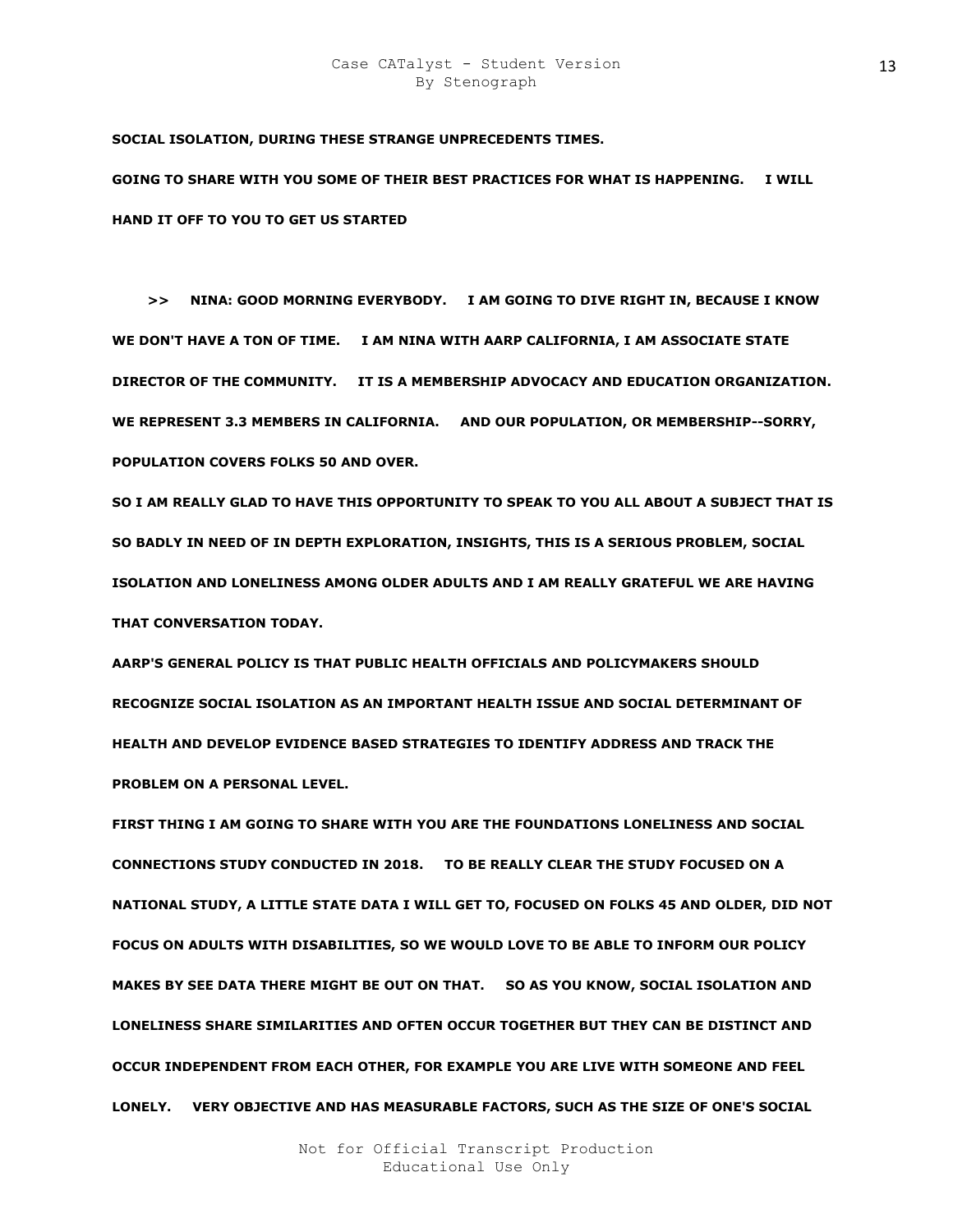**SOCIAL ISOLATION, DURING THESE STRANGE UNPRECEDENTS TIMES.** 

**GOING TO SHARE WITH YOU SOME OF THEIR BEST PRACTICES FOR WHAT IS HAPPENING. I WILL HAND IT OFF TO YOU TO GET US STARTED** 

 **>> NINA: GOOD MORNING EVERYBODY. I AM GOING TO DIVE RIGHT IN, BECAUSE I KNOW WE DON'T HAVE A TON OF TIME. I AM NINA WITH AARP CALIFORNIA, I AM ASSOCIATE STATE DIRECTOR OF THE COMMUNITY. IT IS A MEMBERSHIP ADVOCACY AND EDUCATION ORGANIZATION. WE REPRESENT 3.3 MEMBERS IN CALIFORNIA. AND OUR POPULATION, OR MEMBERSHIP--SORRY, POPULATION COVERS FOLKS 50 AND OVER.** 

**SO I AM REALLY GLAD TO HAVE THIS OPPORTUNITY TO SPEAK TO YOU ALL ABOUT A SUBJECT THAT IS SO BADLY IN NEED OF IN DEPTH EXPLORATION, INSIGHTS, THIS IS A SERIOUS PROBLEM, SOCIAL ISOLATION AND LONELINESS AMONG OLDER ADULTS AND I AM REALLY GRATEFUL WE ARE HAVING THAT CONVERSATION TODAY.** 

**AARP'S GENERAL POLICY IS THAT PUBLIC HEALTH OFFICIALS AND POLICYMAKERS SHOULD RECOGNIZE SOCIAL ISOLATION AS AN IMPORTANT HEALTH ISSUE AND SOCIAL DETERMINANT OF HEALTH AND DEVELOP EVIDENCE BASED STRATEGIES TO IDENTIFY ADDRESS AND TRACK THE PROBLEM ON A PERSONAL LEVEL.** 

**FIRST THING I AM GOING TO SHARE WITH YOU ARE THE FOUNDATIONS LONELINESS AND SOCIAL CONNECTIONS STUDY CONDUCTED IN 2018. TO BE REALLY CLEAR THE STUDY FOCUSED ON A NATIONAL STUDY, A LITTLE STATE DATA I WILL GET TO, FOCUSED ON FOLKS 45 AND OLDER, DID NOT FOCUS ON ADULTS WITH DISABILITIES, SO WE WOULD LOVE TO BE ABLE TO INFORM OUR POLICY MAKES BY SEE DATA THERE MIGHT BE OUT ON THAT. SO AS YOU KNOW, SOCIAL ISOLATION AND LONELINESS SHARE SIMILARITIES AND OFTEN OCCUR TOGETHER BUT THEY CAN BE DISTINCT AND OCCUR INDEPENDENT FROM EACH OTHER, FOR EXAMPLE YOU ARE LIVE WITH SOMEONE AND FEEL LONELY. VERY OBJECTIVE AND HAS MEASURABLE FACTORS, SUCH AS THE SIZE OF ONE'S SOCIAL**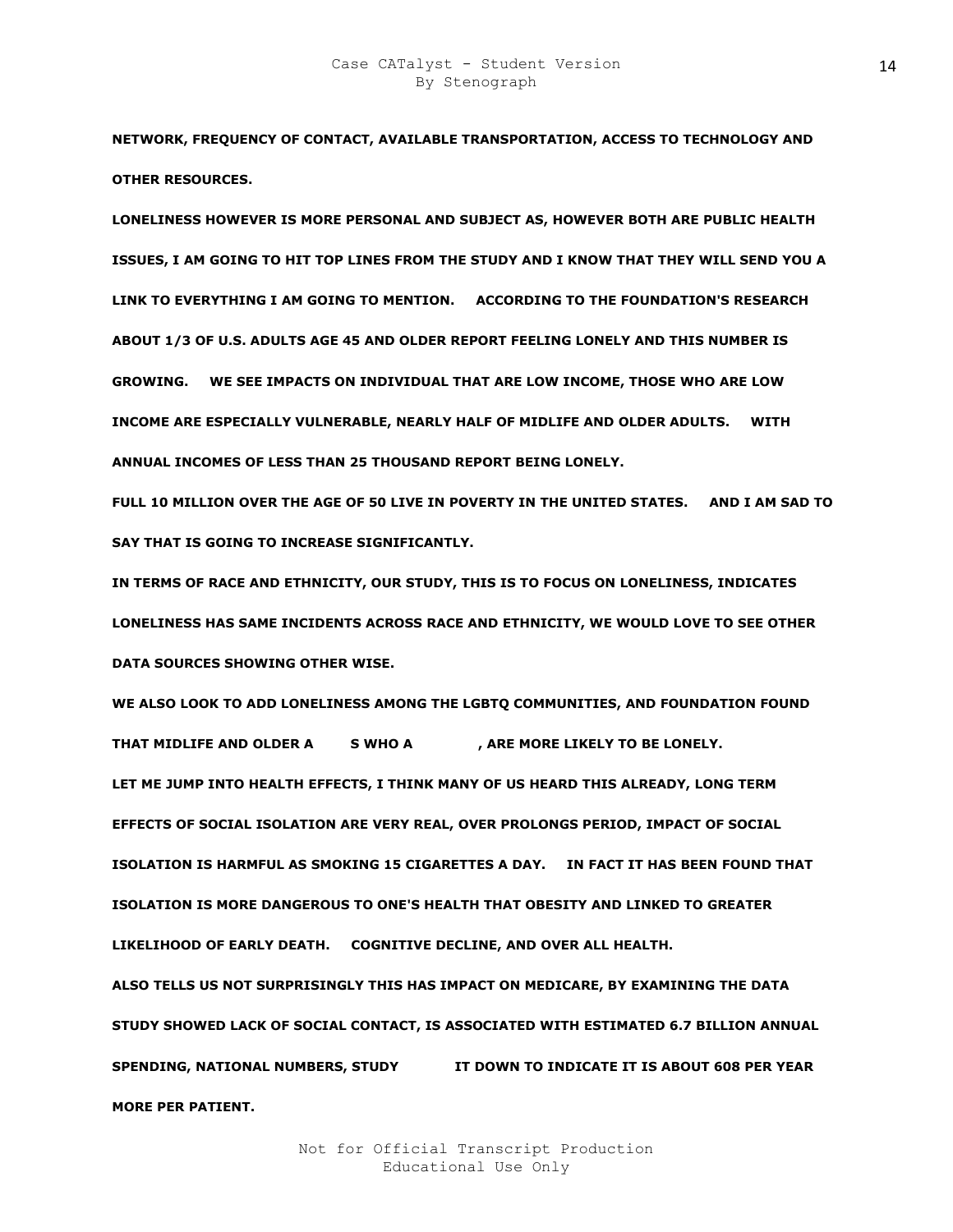**NETWORK, FREQUENCY OF CONTACT, AVAILABLE TRANSPORTATION, ACCESS TO TECHNOLOGY AND OTHER RESOURCES.** 

**LONELINESS HOWEVER IS MORE PERSONAL AND SUBJECT AS, HOWEVER BOTH ARE PUBLIC HEALTH ISSUES, I AM GOING TO HIT TOP LINES FROM THE STUDY AND I KNOW THAT THEY WILL SEND YOU A LINK TO EVERYTHING I AM GOING TO MENTION. ACCORDING TO THE FOUNDATION'S RESEARCH ABOUT 1/3 OF U.S. ADULTS AGE 45 AND OLDER REPORT FEELING LONELY AND THIS NUMBER IS GROWING. WE SEE IMPACTS ON INDIVIDUAL THAT ARE LOW INCOME, THOSE WHO ARE LOW INCOME ARE ESPECIALLY VULNERABLE, NEARLY HALF OF MIDLIFE AND OLDER ADULTS. WITH ANNUAL INCOMES OF LESS THAN 25 THOUSAND REPORT BEING LONELY.** 

**FULL 10 MILLION OVER THE AGE OF 50 LIVE IN POVERTY IN THE UNITED STATES. AND I AM SAD TO SAY THAT IS GOING TO INCREASE SIGNIFICANTLY.** 

**IN TERMS OF RACE AND ETHNICITY, OUR STUDY, THIS IS TO FOCUS ON LONELINESS, INDICATES LONELINESS HAS SAME INCIDENTS ACROSS RACE AND ETHNICITY, WE WOULD LOVE TO SEE OTHER DATA SOURCES SHOWING OTHER WISE.** 

**WE ALSO LOOK TO ADD LONELINESS AMONG THE LGBTQ COMMUNITIES, AND FOUNDATION FOUND**  THAT MIDLIFE AND OLDER A SWHO A ARE MORE LIKELY TO BE LONELY. **LET ME JUMP INTO HEALTH EFFECTS, I THINK MANY OF US HEARD THIS ALREADY, LONG TERM EFFECTS OF SOCIAL ISOLATION ARE VERY REAL, OVER PROLONGS PERIOD, IMPACT OF SOCIAL ISOLATION IS HARMFUL AS SMOKING 15 CIGARETTES A DAY. IN FACT IT HAS BEEN FOUND THAT ISOLATION IS MORE DANGEROUS TO ONE'S HEALTH THAT OBESITY AND LINKED TO GREATER LIKELIHOOD OF EARLY DEATH. COGNITIVE DECLINE, AND OVER ALL HEALTH. ALSO TELLS US NOT SURPRISINGLY THIS HAS IMPACT ON MEDICARE, BY EXAMINING THE DATA STUDY SHOWED LACK OF SOCIAL CONTACT, IS ASSOCIATED WITH ESTIMATED 6.7 BILLION ANNUAL SPENDING, NATIONAL NUMBERS, STUDY BET DOWN TO INDICATE IT IS ABOUT 608 PER YEAR MORE PER PATIENT.**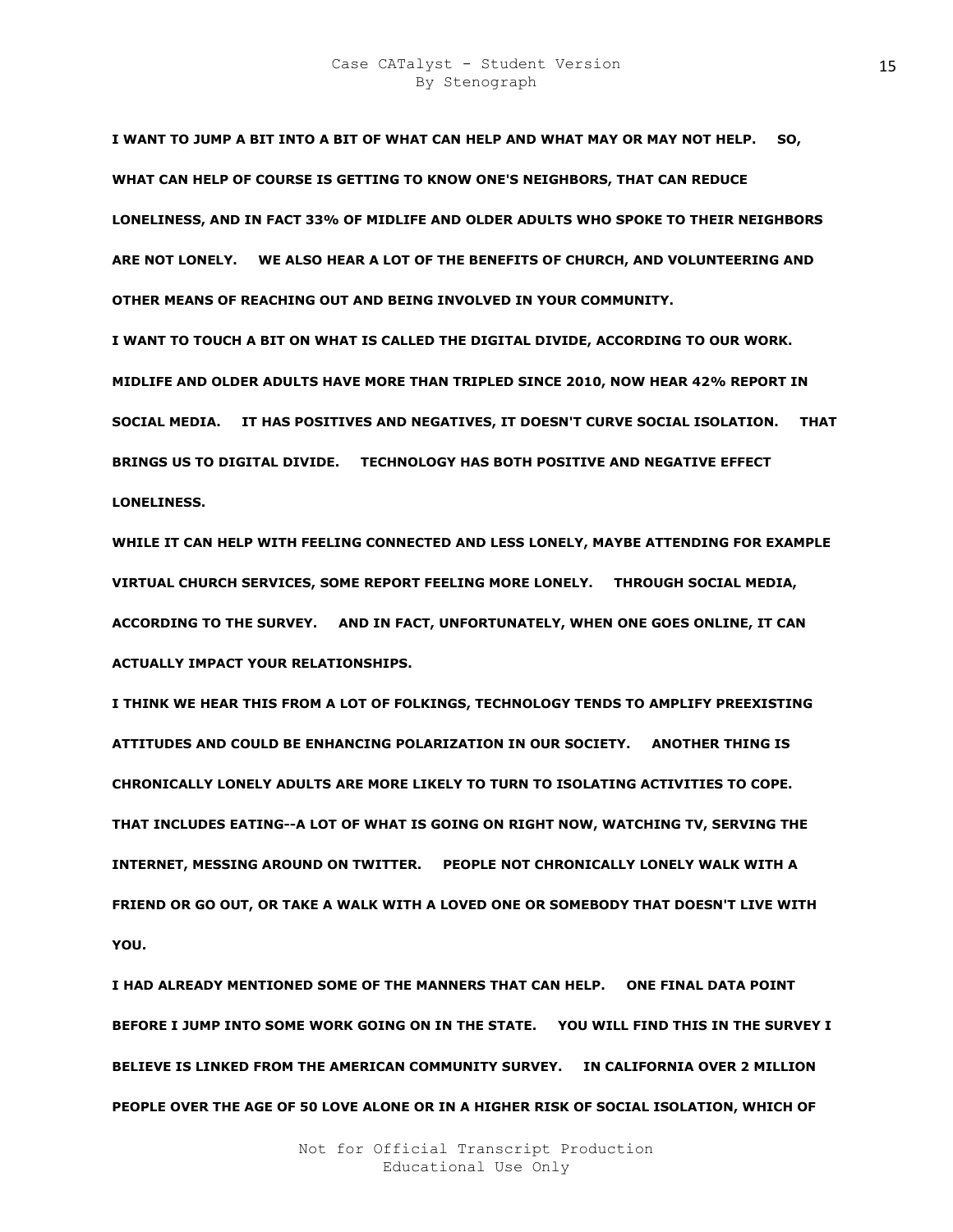**I WANT TO JUMP A BIT INTO A BIT OF WHAT CAN HELP AND WHAT MAY OR MAY NOT HELP. SO, WHAT CAN HELP OF COURSE IS GETTING TO KNOW ONE'S NEIGHBORS, THAT CAN REDUCE LONELINESS, AND IN FACT 33% OF MIDLIFE AND OLDER ADULTS WHO SPOKE TO THEIR NEIGHBORS ARE NOT LONELY. WE ALSO HEAR A LOT OF THE BENEFITS OF CHURCH, AND VOLUNTEERING AND OTHER MEANS OF REACHING OUT AND BEING INVOLVED IN YOUR COMMUNITY.** 

**I WANT TO TOUCH A BIT ON WHAT IS CALLED THE DIGITAL DIVIDE, ACCORDING TO OUR WORK. MIDLIFE AND OLDER ADULTS HAVE MORE THAN TRIPLED SINCE 2010, NOW HEAR 42% REPORT IN SOCIAL MEDIA. IT HAS POSITIVES AND NEGATIVES, IT DOESN'T CURVE SOCIAL ISOLATION. THAT**  BRINGS US TO DIGITAL DIVIDE. TECHNOLOGY HAS BOTH POSITIVE AND NEGATIVE EFFECT **LONELINESS.** 

**WHILE IT CAN HELP WITH FEELING CONNECTED AND LESS LONELY, MAYBE ATTENDING FOR EXAMPLE VIRTUAL CHURCH SERVICES, SOME REPORT FEELING MORE LONELY. THROUGH SOCIAL MEDIA, ACCORDING TO THE SURVEY. AND IN FACT, UNFORTUNATELY, WHEN ONE GOES ONLINE, IT CAN ACTUALLY IMPACT YOUR RELATIONSHIPS.** 

**I THINK WE HEAR THIS FROM A LOT OF FOLKINGS, TECHNOLOGY TENDS TO AMPLIFY PREEXISTING ATTITUDES AND COULD BE ENHANCING POLARIZATION IN OUR SOCIETY. ANOTHER THING IS CHRONICALLY LONELY ADULTS ARE MORE LIKELY TO TURN TO ISOLATING ACTIVITIES TO COPE. THAT INCLUDES EATING--A LOT OF WHAT IS GOING ON RIGHT NOW, WATCHING TV, SERVING THE INTERNET, MESSING AROUND ON TWITTER. PEOPLE NOT CHRONICALLY LONELY WALK WITH A FRIEND OR GO OUT, OR TAKE A WALK WITH A LOVED ONE OR SOMEBODY THAT DOESN'T LIVE WITH YOU.** 

**I HAD ALREADY MENTIONED SOME OF THE MANNERS THAT CAN HELP. ONE FINAL DATA POINT BEFORE I JUMP INTO SOME WORK GOING ON IN THE STATE. YOU WILL FIND THIS IN THE SURVEY I BELIEVE IS LINKED FROM THE AMERICAN COMMUNITY SURVEY. IN CALIFORNIA OVER 2 MILLION PEOPLE OVER THE AGE OF 50 LOVE ALONE OR IN A HIGHER RISK OF SOCIAL ISOLATION, WHICH OF**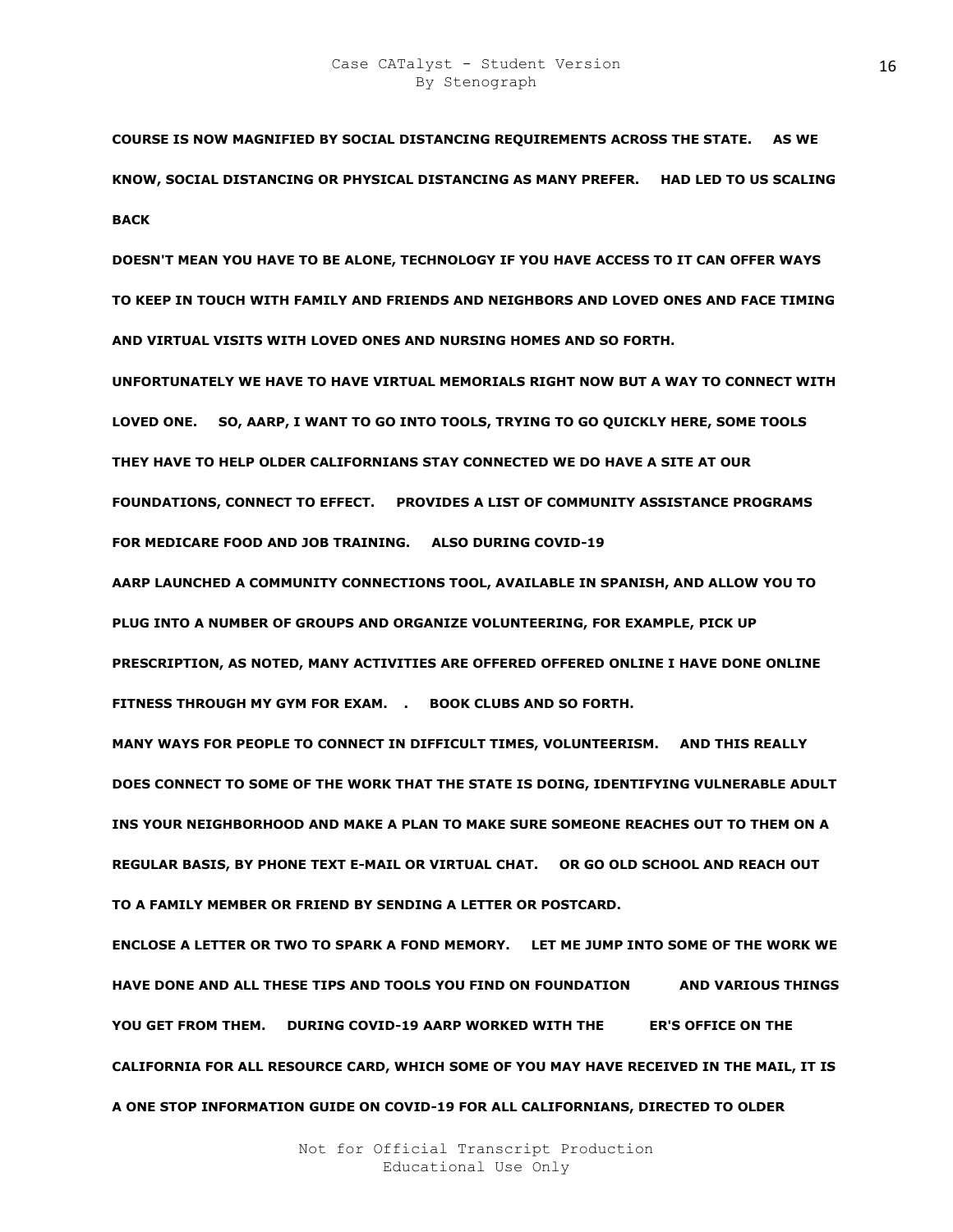**COURSE IS NOW MAGNIFIED BY SOCIAL DISTANCING REQUIREMENTS ACROSS THE STATE. AS WE KNOW, SOCIAL DISTANCING OR PHYSICAL DISTANCING AS MANY PREFER. HAD LED TO US SCALING BACK** 

**DOESN'T MEAN YOU HAVE TO BE ALONE, TECHNOLOGY IF YOU HAVE ACCESS TO IT CAN OFFER WAYS TO KEEP IN TOUCH WITH FAMILY AND FRIENDS AND NEIGHBORS AND LOVED ONES AND FACE TIMING AND VIRTUAL VISITS WITH LOVED ONES AND NURSING HOMES AND SO FORTH.** 

**UNFORTUNATELY WE HAVE TO HAVE VIRTUAL MEMORIALS RIGHT NOW BUT A WAY TO CONNECT WITH LOVED ONE. SO, AARP, I WANT TO GO INTO TOOLS, TRYING TO GO QUICKLY HERE, SOME TOOLS THEY HAVE TO HELP OLDER CALIFORNIANS STAY CONNECTED WE DO HAVE A SITE AT OUR FOUNDATIONS, CONNECT TO EFFECT. PROVIDES A LIST OF COMMUNITY ASSISTANCE PROGRAMS FOR MEDICARE FOOD AND JOB TRAINING. ALSO DURING COVID-19** 

**AARP LAUNCHED A COMMUNITY CONNECTIONS TOOL, AVAILABLE IN SPANISH, AND ALLOW YOU TO PLUG INTO A NUMBER OF GROUPS AND ORGANIZE VOLUNTEERING, FOR EXAMPLE, PICK UP PRESCRIPTION, AS NOTED, MANY ACTIVITIES ARE OFFERED OFFERED ONLINE I HAVE DONE ONLINE**  FITNESS THROUGH MY GYM FOR EXAM. . BOOK CLUBS AND SO FORTH.

**MANY WAYS FOR PEOPLE TO CONNECT IN DIFFICULT TIMES, VOLUNTEERISM. AND THIS REALLY DOES CONNECT TO SOME OF THE WORK THAT THE STATE IS DOING, IDENTIFYING VULNERABLE ADULT INS YOUR NEIGHBORHOOD AND MAKE A PLAN TO MAKE SURE SOMEONE REACHES OUT TO THEM ON A REGULAR BASIS, BY PHONE TEXT E-MAIL OR VIRTUAL CHAT. OR GO OLD SCHOOL AND REACH OUT TO A FAMILY MEMBER OR FRIEND BY SENDING A LETTER OR POSTCARD.** 

**ENCLOSE A LETTER OR TWO TO SPARK A FOND MEMORY. LET ME JUMP INTO SOME OF THE WORK WE HAVE DONE AND ALL THESE TIPS AND TOOLS YOU FIND ON FOUNDATION SIELT AND VARIOUS THINGS**  YOU GET FROM THEM. DURING COVID-19 AARP WORKED WITH THE FR'S OFFICE ON THE **CALIFORNIA FOR ALL RESOURCE CARD, WHICH SOME OF YOU MAY HAVE RECEIVED IN THE MAIL, IT IS A ONE STOP INFORMATION GUIDE ON COVID-19 FOR ALL CALIFORNIANS, DIRECTED TO OLDER**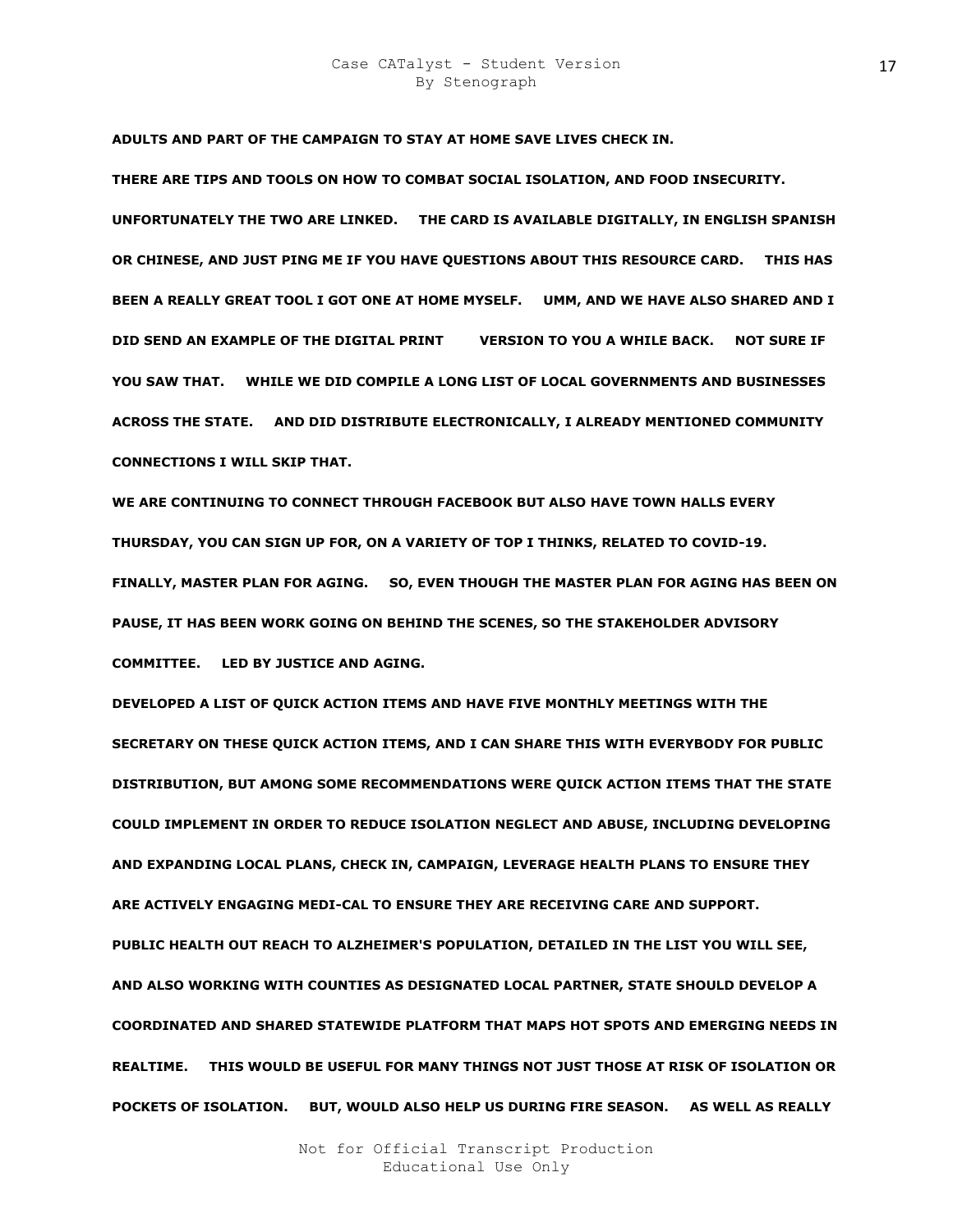**ADULTS AND PART OF THE CAMPAIGN TO STAY AT HOME SAVE LIVES CHECK IN.** 

**THERE ARE TIPS AND TOOLS ON HOW TO COMBAT SOCIAL ISOLATION, AND FOOD INSECURITY. UNFORTUNATELY THE TWO ARE LINKED. THE CARD IS AVAILABLE DIGITALLY, IN ENGLISH SPANISH OR CHINESE, AND JUST PING ME IF YOU HAVE QUESTIONS ABOUT THIS RESOURCE CARD. THIS HAS BEEN A REALLY GREAT TOOL I GOT ONE AT HOME MYSELF. UMM, AND WE HAVE ALSO SHARED AND I DID SEND AN EXAMPLE OF THE DIGITAL PRINT BLG VERSION TO YOU A WHILE BACK. NOT SURE IF YOU SAW THAT. WHILE WE DID COMPILE A LONG LIST OF LOCAL GOVERNMENTS AND BUSINESSES ACROSS THE STATE. AND DID DISTRIBUTE ELECTRONICALLY, I ALREADY MENTIONED COMMUNITY CONNECTIONS I WILL SKIP THAT.** 

**WE ARE CONTINUING TO CONNECT THROUGH FACEBOOK BUT ALSO HAVE TOWN HALLS EVERY THURSDAY, YOU CAN SIGN UP FOR, ON A VARIETY OF TOP I THINKS, RELATED TO COVID-19. FINALLY, MASTER PLAN FOR AGING. SO, EVEN THOUGH THE MASTER PLAN FOR AGING HAS BEEN ON PAUSE, IT HAS BEEN WORK GOING ON BEHIND THE SCENES, SO THE STAKEHOLDER ADVISORY COMMITTEE. LED BY JUSTICE AND AGING.** 

**DEVELOPED A LIST OF QUICK ACTION ITEMS AND HAVE FIVE MONTHLY MEETINGS WITH THE SECRETARY ON THESE QUICK ACTION ITEMS, AND I CAN SHARE THIS WITH EVERYBODY FOR PUBLIC DISTRIBUTION, BUT AMONG SOME RECOMMENDATIONS WERE QUICK ACTION ITEMS THAT THE STATE COULD IMPLEMENT IN ORDER TO REDUCE ISOLATION NEGLECT AND ABUSE, INCLUDING DEVELOPING AND EXPANDING LOCAL PLANS, CHECK IN, CAMPAIGN, LEVERAGE HEALTH PLANS TO ENSURE THEY ARE ACTIVELY ENGAGING MEDI-CAL TO ENSURE THEY ARE RECEIVING CARE AND SUPPORT. PUBLIC HEALTH OUT REACH TO ALZHEIMER'S POPULATION, DETAILED IN THE LIST YOU WILL SEE, AND ALSO WORKING WITH COUNTIES AS DESIGNATED LOCAL PARTNER, STATE SHOULD DEVELOP A COORDINATED AND SHARED STATEWIDE PLATFORM THAT MAPS HOT SPOTS AND EMERGING NEEDS IN REALTIME. THIS WOULD BE USEFUL FOR MANY THINGS NOT JUST THOSE AT RISK OF ISOLATION OR POCKETS OF ISOLATION. BUT, WOULD ALSO HELP US DURING FIRE SEASON. AS WELL AS REALLY**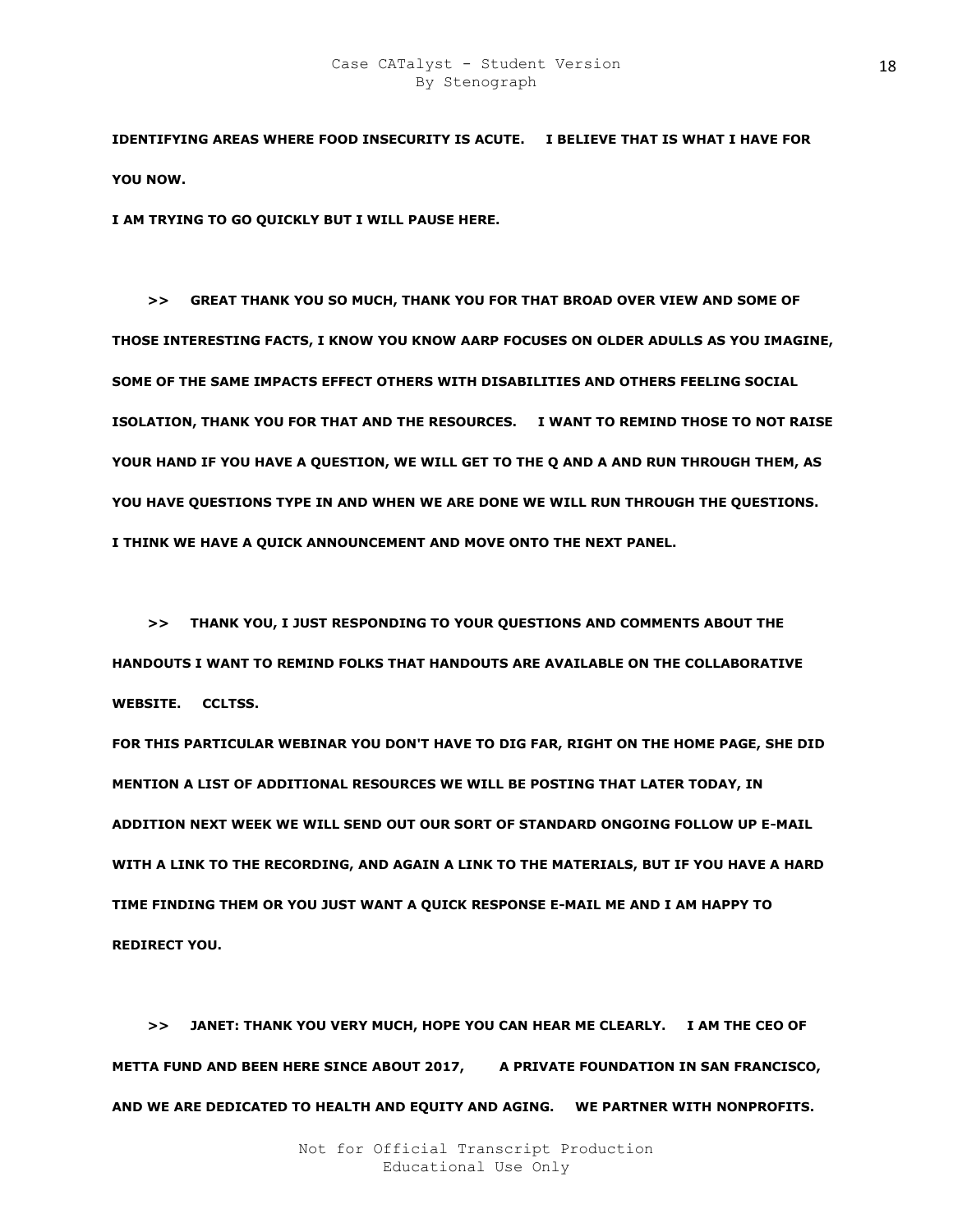**IDENTIFYING AREAS WHERE FOOD INSECURITY IS ACUTE. I BELIEVE THAT IS WHAT I HAVE FOR YOU NOW.** 

**I AM TRYING TO GO QUICKLY BUT I WILL PAUSE HERE.** 

 **>> GREAT THANK YOU SO MUCH, THANK YOU FOR THAT BROAD OVER VIEW AND SOME OF THOSE INTERESTING FACTS, I KNOW YOU KNOW AARP FOCUSES ON OLDER ADULLS AS YOU IMAGINE, SOME OF THE SAME IMPACTS EFFECT OTHERS WITH DISABILITIES AND OTHERS FEELING SOCIAL ISOLATION, THANK YOU FOR THAT AND THE RESOURCES. I WANT TO REMIND THOSE TO NOT RAISE YOUR HAND IF YOU HAVE A QUESTION, WE WILL GET TO THE Q AND A AND RUN THROUGH THEM, AS YOU HAVE QUESTIONS TYPE IN AND WHEN WE ARE DONE WE WILL RUN THROUGH THE QUESTIONS. I THINK WE HAVE A QUICK ANNOUNCEMENT AND MOVE ONTO THE NEXT PANEL.** 

 **>> THANK YOU, I JUST RESPONDING TO YOUR QUESTIONS AND COMMENTS ABOUT THE HANDOUTS I WANT TO REMIND FOLKS THAT HANDOUTS ARE AVAILABLE ON THE COLLABORATIVE WEBSITE. CCLTSS.** 

**FOR THIS PARTICULAR WEBINAR YOU DON'T HAVE TO DIG FAR, RIGHT ON THE HOME PAGE, SHE DID MENTION A LIST OF ADDITIONAL RESOURCES WE WILL BE POSTING THAT LATER TODAY, IN ADDITION NEXT WEEK WE WILL SEND OUT OUR SORT OF STANDARD ONGOING FOLLOW UP E-MAIL WITH A LINK TO THE RECORDING, AND AGAIN A LINK TO THE MATERIALS, BUT IF YOU HAVE A HARD TIME FINDING THEM OR YOU JUST WANT A QUICK RESPONSE E-MAIL ME AND I AM HAPPY TO REDIRECT YOU.** 

 **>> JANET: THANK YOU VERY MUCH, HOPE YOU CAN HEAR ME CLEARLY. I AM THE CEO OF**  METTA FUND AND BEEN HERE SINCE ABOUT 2017, A PRIVATE FOUNDATION IN SAN FRANCISCO, **AND WE ARE DEDICATED TO HEALTH AND EQUITY AND AGING. WE PARTNER WITH NONPROFITS.**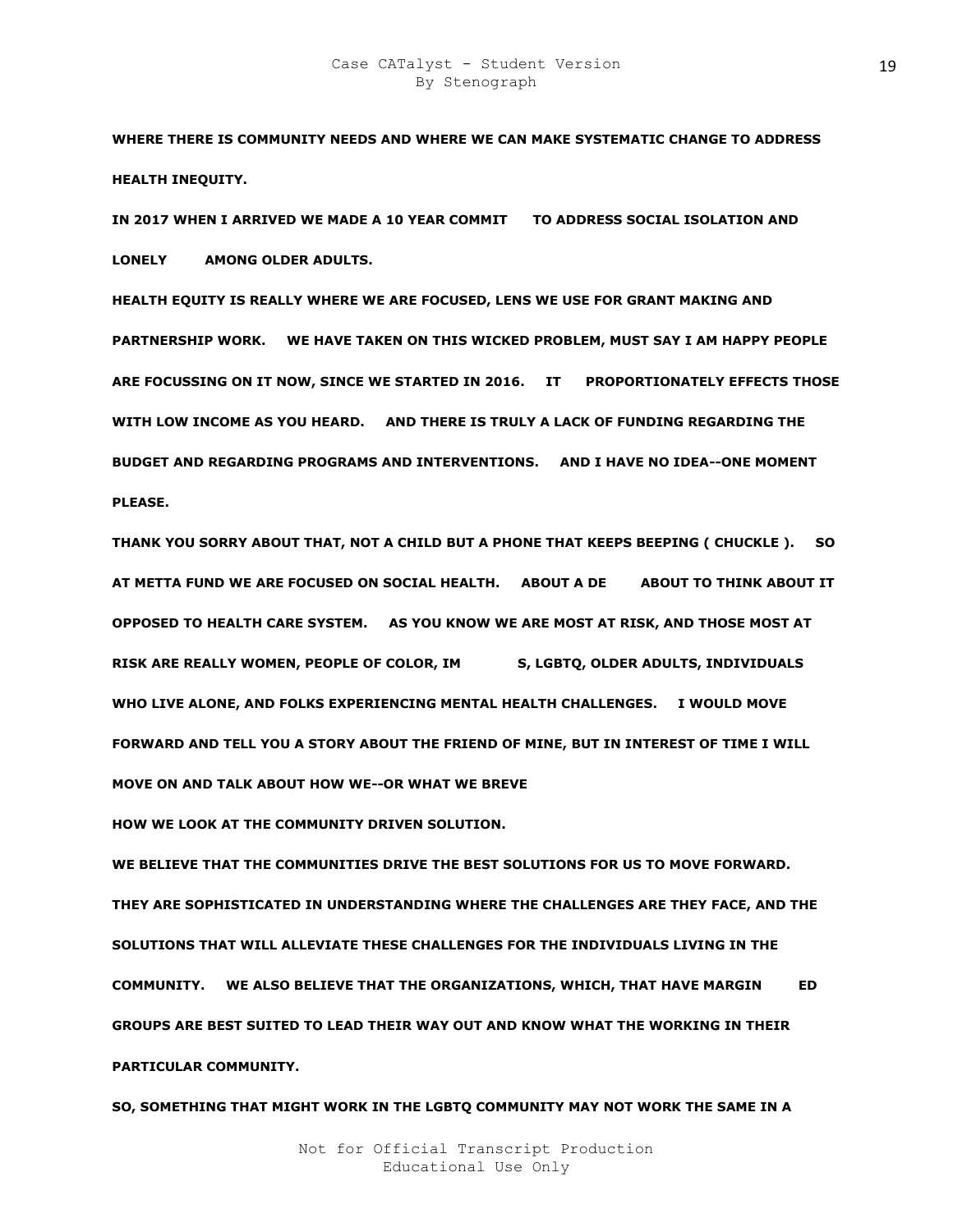**WHERE THERE IS COMMUNITY NEEDS AND WHERE WE CAN MAKE SYSTEMATIC CHANGE TO ADDRESS HEALTH INEQUITY.** 

IN 2017 WHEN I ARRIVED WE MADE A 10 YEAR COMMIT TO ADDRESS SOCIAL ISOLATION AND **LONELY AMONG OLDER ADULTS.** 

**HEALTH EQUITY IS REALLY WHERE WE ARE FOCUSED, LENS WE USE FOR GRANT MAKING AND PARTNERSHIP WORK. WE HAVE TAKEN ON THIS WICKED PROBLEM, MUST SAY I AM HAPPY PEOPLE**  ARE FOCUSSING ON IT NOW, SINCE WE STARTED IN 2016. IT PROPORTIONATELY EFFECTS THOSE **WITH LOW INCOME AS YOU HEARD. AND THERE IS TRULY A LACK OF FUNDING REGARDING THE BUDGET AND REGARDING PROGRAMS AND INTERVENTIONS. AND I HAVE NO IDEA--ONE MOMENT PLEASE.** 

**THANK YOU SORRY ABOUT THAT, NOT A CHILD BUT A PHONE THAT KEEPS BEEPING ( CHUCKLE ). SO AT METTA FUND WE ARE FOCUSED ON SOCIAL HEALTH. ABOUT A DEKAD ABOUT TO THINK ABOUT IT OPPOSED TO HEALTH CARE SYSTEM. AS YOU KNOW WE ARE MOST AT RISK, AND THOSE MOST AT**  RISK ARE REALLY WOMEN, PEOPLE OF COLOR, IMGRANICS, LGBTQ, OLDER ADULTS, INDIVIDUALS **WHO LIVE ALONE, AND FOLKS EXPERIENCING MENTAL HEALTH CHALLENGES. I WOULD MOVE FORWARD AND TELL YOU A STORY ABOUT THE FRIEND OF MINE, BUT IN INTEREST OF TIME I WILL MOVE ON AND TALK ABOUT HOW WE--OR WHAT WE BREVE** 

**HOW WE LOOK AT THE COMMUNITY DRIVEN SOLUTION.** 

**WE BELIEVE THAT THE COMMUNITIES DRIVE THE BEST SOLUTIONS FOR US TO MOVE FORWARD. THEY ARE SOPHISTICATED IN UNDERSTANDING WHERE THE CHALLENGES ARE THEY FACE, AND THE SOLUTIONS THAT WILL ALLEVIATE THESE CHALLENGES FOR THE INDIVIDUALS LIVING IN THE COMMUNITY.** WE ALSO BELIEVE THAT THE ORGANIZATIONS, WHICH, THAT HAVE MARGIN ED **GROUPS ARE BEST SUITED TO LEAD THEIR WAY OUT AND KNOW WHAT THE WORKING IN THEIR PARTICULAR COMMUNITY.** 

**SO, SOMETHING THAT MIGHT WORK IN THE LGBTQ COMMUNITY MAY NOT WORK THE SAME IN A**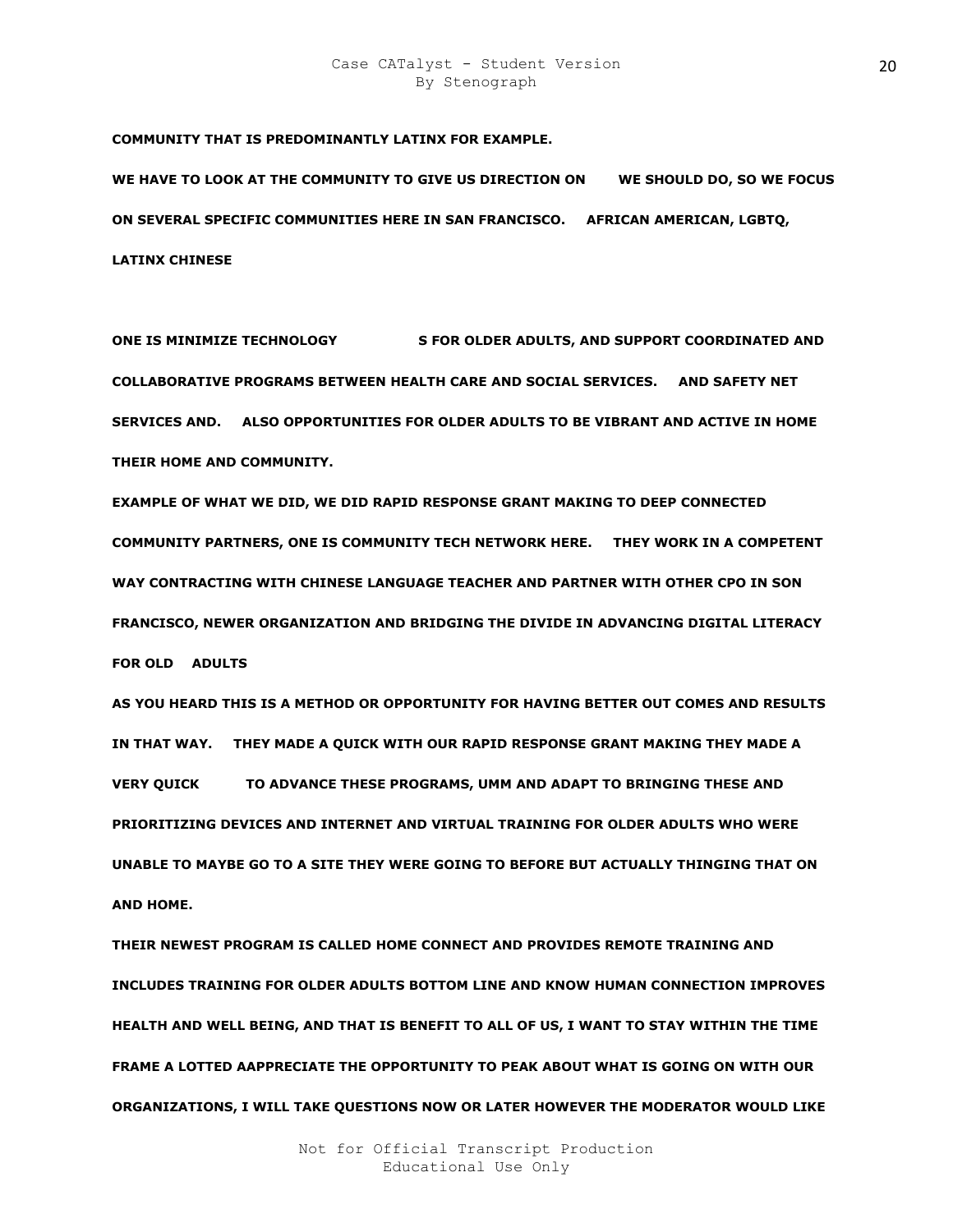**COMMUNITY THAT IS PREDOMINANTLY LATINX FOR EXAMPLE.** 

WE HAVE TO LOOK AT THE COMMUNITY TO GIVE US DIRECTION ON WE SHOULD DO, SO WE FOCUS **ON SEVERAL SPECIFIC COMMUNITIES HERE IN SAN FRANCISCO. AFRICAN AMERICAN, LGBTQ, LATINX CHINESE** 

**ONE IS MINIMIZE TECHNOLOGY 6 FOR OLDER ADULTS, AND SUPPORT COORDINATED AND COLLABORATIVE PROGRAMS BETWEEN HEALTH CARE AND SOCIAL SERVICES. AND SAFETY NET SERVICES AND. ALSO OPPORTUNITIES FOR OLDER ADULTS TO BE VIBRANT AND ACTIVE IN HOME THEIR HOME AND COMMUNITY.** 

**EXAMPLE OF WHAT WE DID, WE DID RAPID RESPONSE GRANT MAKING TO DEEP CONNECTED COMMUNITY PARTNERS, ONE IS COMMUNITY TECH NETWORK HERE. THEY WORK IN A COMPETENT WAY CONTRACTING WITH CHINESE LANGUAGE TEACHER AND PARTNER WITH OTHER CPO IN SON FRANCISCO, NEWER ORGANIZATION AND BRIDGING THE DIVIDE IN ADVANCING DIGITAL LITERACY FOR OLD R ADULTS** 

**AS YOU HEARD THIS IS A METHOD OR OPPORTUNITY FOR HAVING BETTER OUT COMES AND RESULTS IN THAT WAY. THEY MADE A QUICK WITH OUR RAPID RESPONSE GRANT MAKING THEY MADE A VERY QUICK BOVANCE THESE PROGRAMS, UMM AND ADAPT TO BRINGING THESE AND PRIORITIZING DEVICES AND INTERNET AND VIRTUAL TRAINING FOR OLDER ADULTS WHO WERE UNABLE TO MAYBE GO TO A SITE THEY WERE GOING TO BEFORE BUT ACTUALLY THINGING THAT ON AND HOME.** 

**THEIR NEWEST PROGRAM IS CALLED HOME CONNECT AND PROVIDES REMOTE TRAINING AND INCLUDES TRAINING FOR OLDER ADULTS BOTTOM LINE AND KNOW HUMAN CONNECTION IMPROVES HEALTH AND WELL BEING, AND THAT IS BENEFIT TO ALL OF US, I WANT TO STAY WITHIN THE TIME FRAME A LOTTED AAPPRECIATE THE OPPORTUNITY TO PEAK ABOUT WHAT IS GOING ON WITH OUR ORGANIZATIONS, I WILL TAKE QUESTIONS NOW OR LATER HOWEVER THE MODERATOR WOULD LIKE**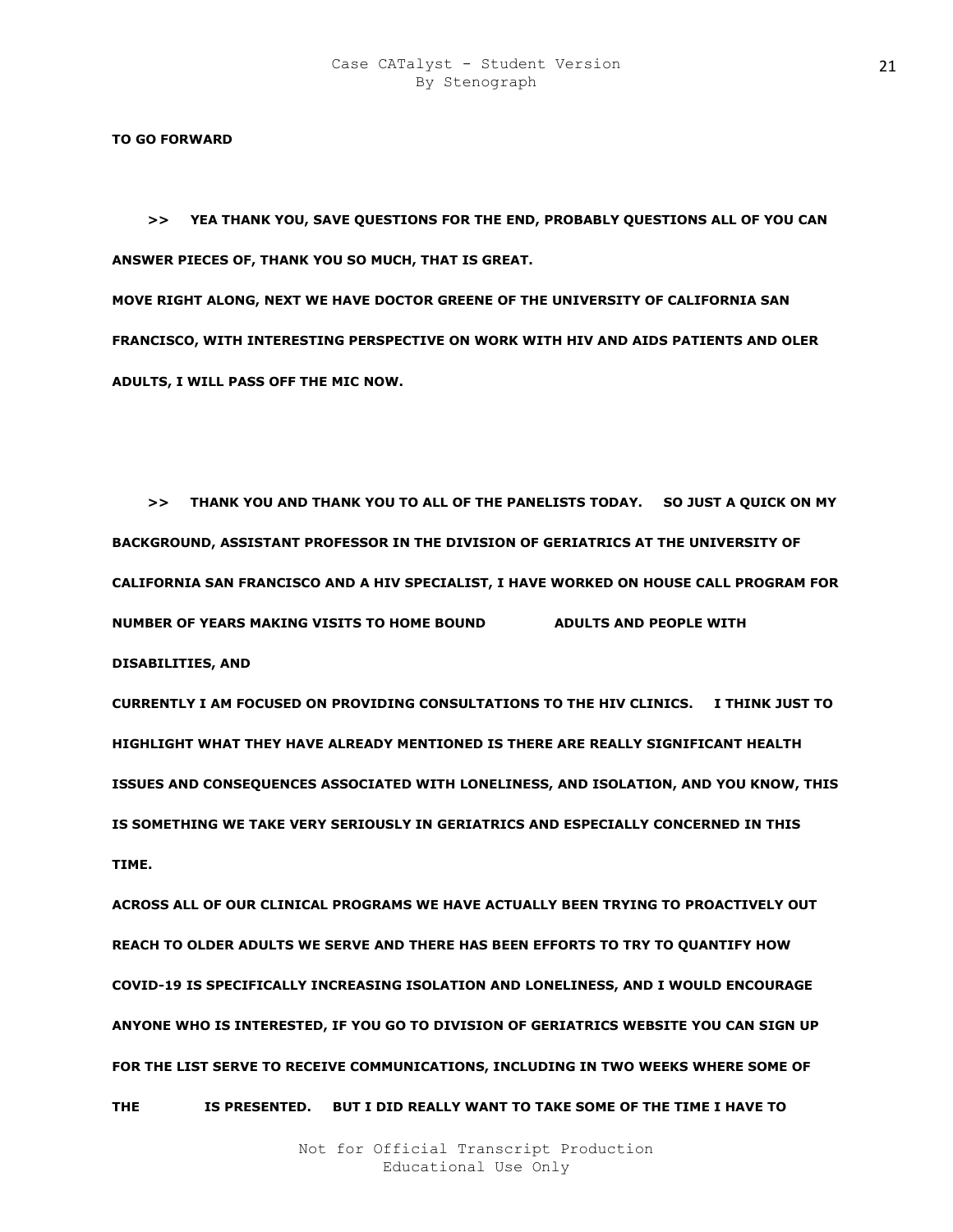**TO GO FORWARD** 

 **>> YEA THANK YOU, SAVE QUESTIONS FOR THE END, PROBABLY QUESTIONS ALL OF YOU CAN ANSWER PIECES OF, THANK YOU SO MUCH, THAT IS GREAT.** 

**MOVE RIGHT ALONG, NEXT WE HAVE DOCTOR GREENE OF THE UNIVERSITY OF CALIFORNIA SAN FRANCISCO, WITH INTERESTING PERSPECTIVE ON WORK WITH HIV AND AIDS PATIENTS AND OLER ADULTS, I WILL PASS OFF THE MIC NOW.** 

 **>> THANK YOU AND THANK YOU TO ALL OF THE PANELISTS TODAY. SO JUST A QUICK ON MY BACKGROUND, ASSISTANT PROFESSOR IN THE DIVISION OF GERIATRICS AT THE UNIVERSITY OF CALIFORNIA SAN FRANCISCO AND A HIV SPECIALIST, I HAVE WORKED ON HOUSE CALL PROGRAM FOR NUMBER OF YEARS MAKING VISITS TO HOME BOUND ADULTS AND PEOPLE WITH DISABILITIES, AND** 

**CURRENTLY I AM FOCUSED ON PROVIDING CONSULTATIONS TO THE HIV CLINICS. I THINK JUST TO HIGHLIGHT WHAT THEY HAVE ALREADY MENTIONED IS THERE ARE REALLY SIGNIFICANT HEALTH ISSUES AND CONSEQUENCES ASSOCIATED WITH LONELINESS, AND ISOLATION, AND YOU KNOW, THIS IS SOMETHING WE TAKE VERY SERIOUSLY IN GERIATRICS AND ESPECIALLY CONCERNED IN THIS TIME.** 

**ACROSS ALL OF OUR CLINICAL PROGRAMS WE HAVE ACTUALLY BEEN TRYING TO PROACTIVELY OUT REACH TO OLDER ADULTS WE SERVE AND THERE HAS BEEN EFFORTS TO TRY TO QUANTIFY HOW COVID-19 IS SPECIFICALLY INCREASING ISOLATION AND LONELINESS, AND I WOULD ENCOURAGE ANYONE WHO IS INTERESTED, IF YOU GO TO DIVISION OF GERIATRICS WEBSITE YOU CAN SIGN UP FOR THE LIST SERVE TO RECEIVE COMMUNICATIONS, INCLUDING IN TWO WEEKS WHERE SOME OF THE DWA TA IS PRESENTED. BUT I DID REALLY WANT TO TAKE SOME OF THE TIME I HAVE TO**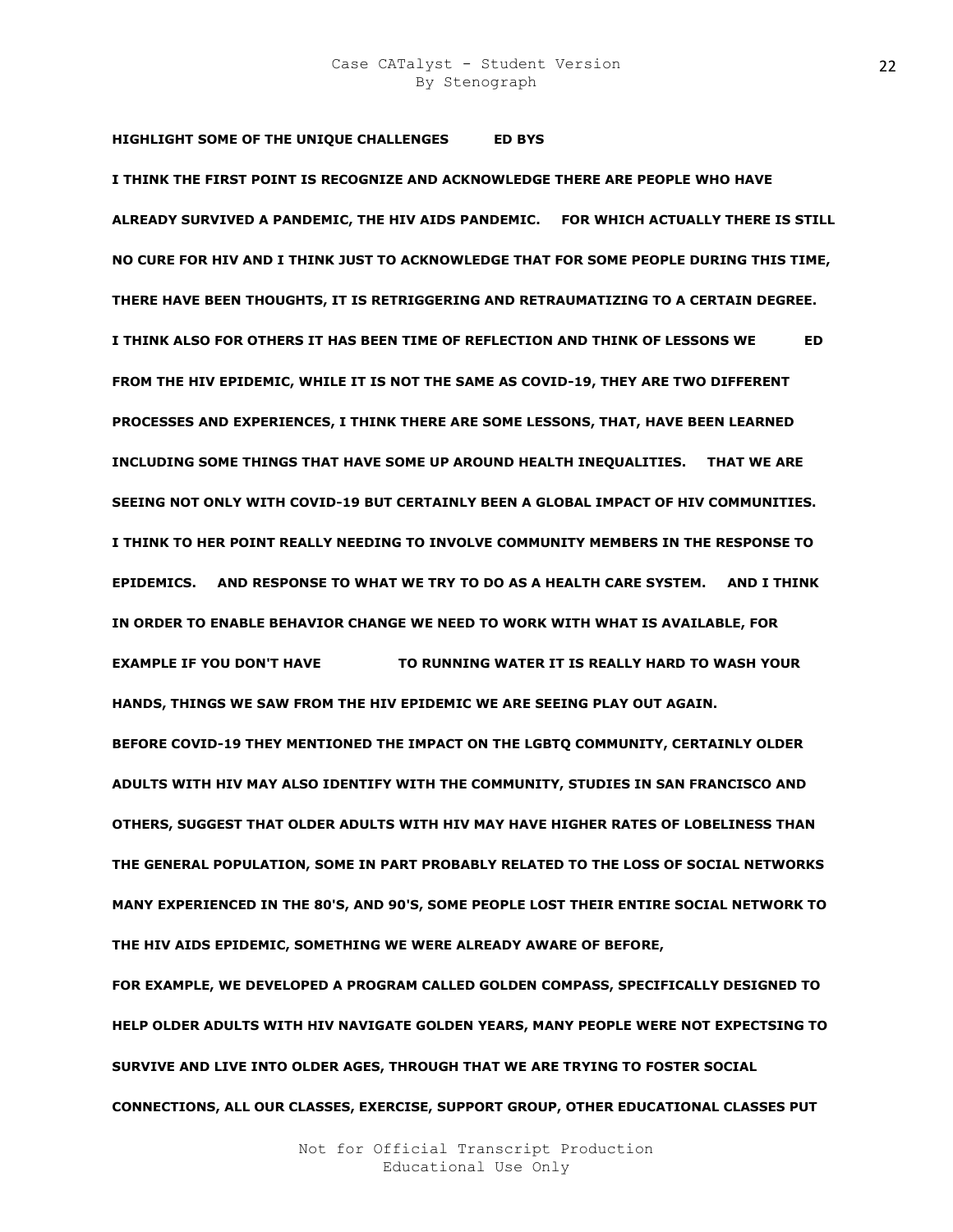**HIGHLIGHT SOME OF THE UNIQUE CHALLENGES ED BYS I THINK THE FIRST POINT IS RECOGNIZE AND ACKNOWLEDGE THERE ARE PEOPLE WHO HAVE ALREADY SURVIVED A PANDEMIC, THE HIV AIDS PANDEMIC. FOR WHICH ACTUALLY THERE IS STILL NO CURE FOR HIV AND I THINK JUST TO ACKNOWLEDGE THAT FOR SOME PEOPLE DURING THIS TIME, THERE HAVE BEEN THOUGHTS, IT IS RETRIGGERING AND RETRAUMATIZING TO A CERTAIN DEGREE. I THINK ALSO FOR OTHERS IT HAS BEEN TIME OF REFLECTION AND THINK OF LESSONS WE LED FROM THE HIV EPIDEMIC, WHILE IT IS NOT THE SAME AS COVID-19, THEY ARE TWO DIFFERENT PROCESSES AND EXPERIENCES, I THINK THERE ARE SOME LESSONS, THAT, HAVE BEEN LEARNED INCLUDING SOME THINGS THAT HAVE SOME UP AROUND HEALTH INEQUALITIES. THAT WE ARE SEEING NOT ONLY WITH COVID-19 BUT CERTAINLY BEEN A GLOBAL IMPACT OF HIV COMMUNITIES. I THINK TO HER POINT REALLY NEEDING TO INVOLVE COMMUNITY MEMBERS IN THE RESPONSE TO EPIDEMICS. AND RESPONSE TO WHAT WE TRY TO DO AS A HEALTH CARE SYSTEM. AND I THINK IN ORDER TO ENABLE BEHAVIOR CHANGE WE NEED TO WORK WITH WHAT IS AVAILABLE, FOR EXAMPLE IF YOU DON'T HAVE TO RUNNING WATER IT IS REALLY HARD TO WASH YOUR HANDS, THINGS WE SAW FROM THE HIV EPIDEMIC WE ARE SEEING PLAY OUT AGAIN. BEFORE COVID-19 THEY MENTIONED THE IMPACT ON THE LGBTQ COMMUNITY, CERTAINLY OLDER ADULTS WITH HIV MAY ALSO IDENTIFY WITH THE COMMUNITY, STUDIES IN SAN FRANCISCO AND OTHERS, SUGGEST THAT OLDER ADULTS WITH HIV MAY HAVE HIGHER RATES OF LOBELINESS THAN THE GENERAL POPULATION, SOME IN PART PROBABLY RELATED TO THE LOSS OF SOCIAL NETWORKS MANY EXPERIENCED IN THE 80'S, AND 90'S, SOME PEOPLE LOST THEIR ENTIRE SOCIAL NETWORK TO THE HIV AIDS EPIDEMIC, SOMETHING WE WERE ALREADY AWARE OF BEFORE,** 

**FOR EXAMPLE, WE DEVELOPED A PROGRAM CALLED GOLDEN COMPASS, SPECIFICALLY DESIGNED TO HELP OLDER ADULTS WITH HIV NAVIGATE GOLDEN YEARS, MANY PEOPLE WERE NOT EXPECTSING TO SURVIVE AND LIVE INTO OLDER AGES, THROUGH THAT WE ARE TRYING TO FOSTER SOCIAL CONNECTIONS, ALL OUR CLASSES, EXERCISE, SUPPORT GROUP, OTHER EDUCATIONAL CLASSES PUT**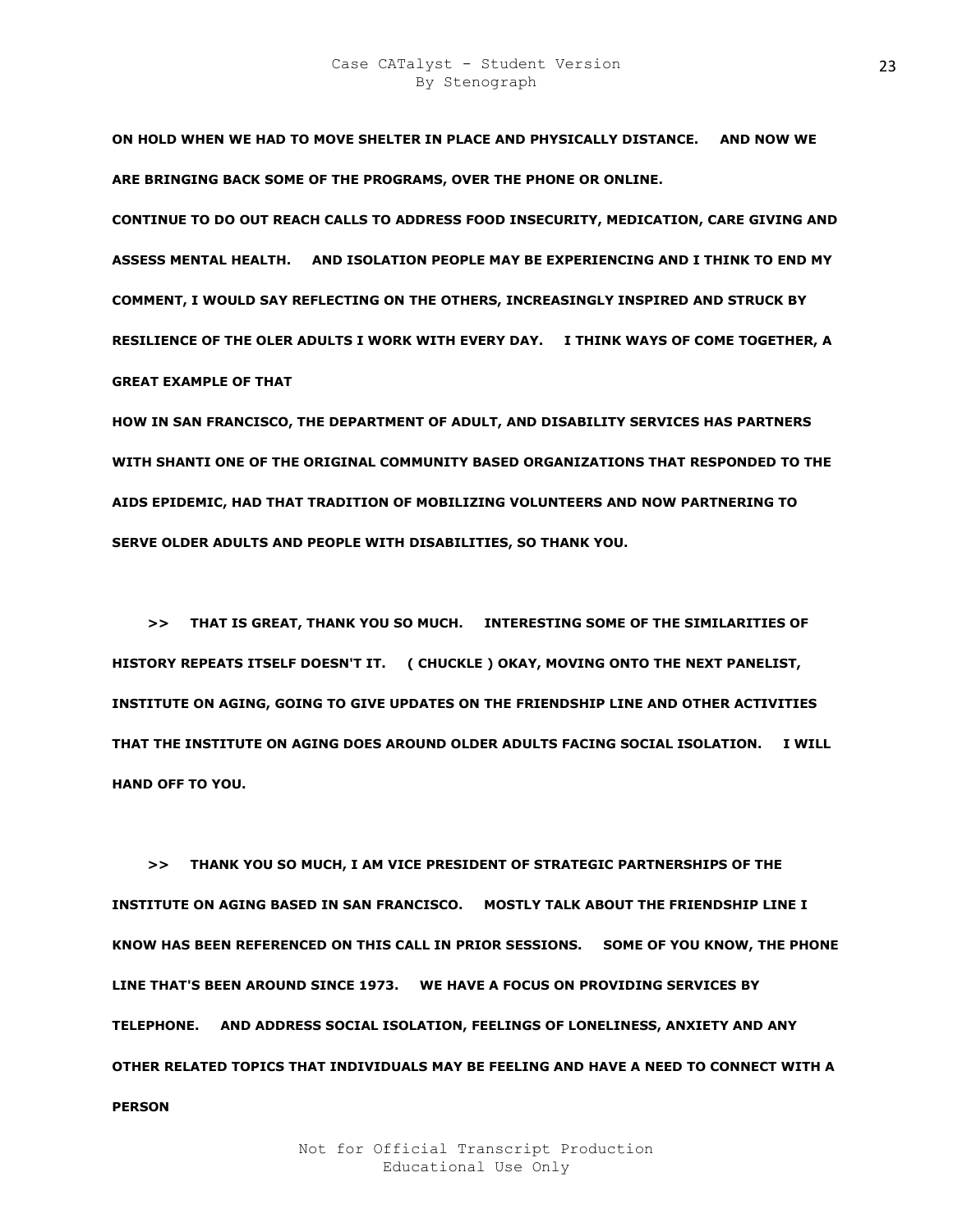**ON HOLD WHEN WE HAD TO MOVE SHELTER IN PLACE AND PHYSICALLY DISTANCE. AND NOW WE ARE BRINGING BACK SOME OF THE PROGRAMS, OVER THE PHONE OR ONLINE.** 

**CONTINUE TO DO OUT REACH CALLS TO ADDRESS FOOD INSECURITY, MEDICATION, CARE GIVING AND ASSESS MENTAL HEALTH. AND ISOLATION PEOPLE MAY BE EXPERIENCING AND I THINK TO END MY COMMENT, I WOULD SAY REFLECTING ON THE OTHERS, INCREASINGLY INSPIRED AND STRUCK BY RESILIENCE OF THE OLER ADULTS I WORK WITH EVERY DAY. I THINK WAYS OF COME TOGETHER, A GREAT EXAMPLE OF THAT** 

**HOW IN SAN FRANCISCO, THE DEPARTMENT OF ADULT, AND DISABILITY SERVICES HAS PARTNERS WITH SHANTI ONE OF THE ORIGINAL COMMUNITY BASED ORGANIZATIONS THAT RESPONDED TO THE AIDS EPIDEMIC, HAD THAT TRADITION OF MOBILIZING VOLUNTEERS AND NOW PARTNERING TO SERVE OLDER ADULTS AND PEOPLE WITH DISABILITIES, SO THANK YOU.** 

 **>> THAT IS GREAT, THANK YOU SO MUCH. INTERESTING SOME OF THE SIMILARITIES OF HISTORY REPEATS ITSELF DOESN'T IT. ( CHUCKLE ) OKAY, MOVING ONTO THE NEXT PANELIST, INSTITUTE ON AGING, GOING TO GIVE UPDATES ON THE FRIENDSHIP LINE AND OTHER ACTIVITIES THAT THE INSTITUTE ON AGING DOES AROUND OLDER ADULTS FACING SOCIAL ISOLATION. I WILL HAND OFF TO YOU.** 

 **>> THANK YOU SO MUCH, I AM VICE PRESIDENT OF STRATEGIC PARTNERSHIPS OF THE INSTITUTE ON AGING BASED IN SAN FRANCISCO. MOSTLY TALK ABOUT THE FRIENDSHIP LINE I KNOW HAS BEEN REFERENCED ON THIS CALL IN PRIOR SESSIONS. SOME OF YOU KNOW, THE PHONE LINE THAT'S BEEN AROUND SINCE 1973. WE HAVE A FOCUS ON PROVIDING SERVICES BY TELEPHONE. AND ADDRESS SOCIAL ISOLATION, FEELINGS OF LONELINESS, ANXIETY AND ANY OTHER RELATED TOPICS THAT INDIVIDUALS MAY BE FEELING AND HAVE A NEED TO CONNECT WITH A PERSON**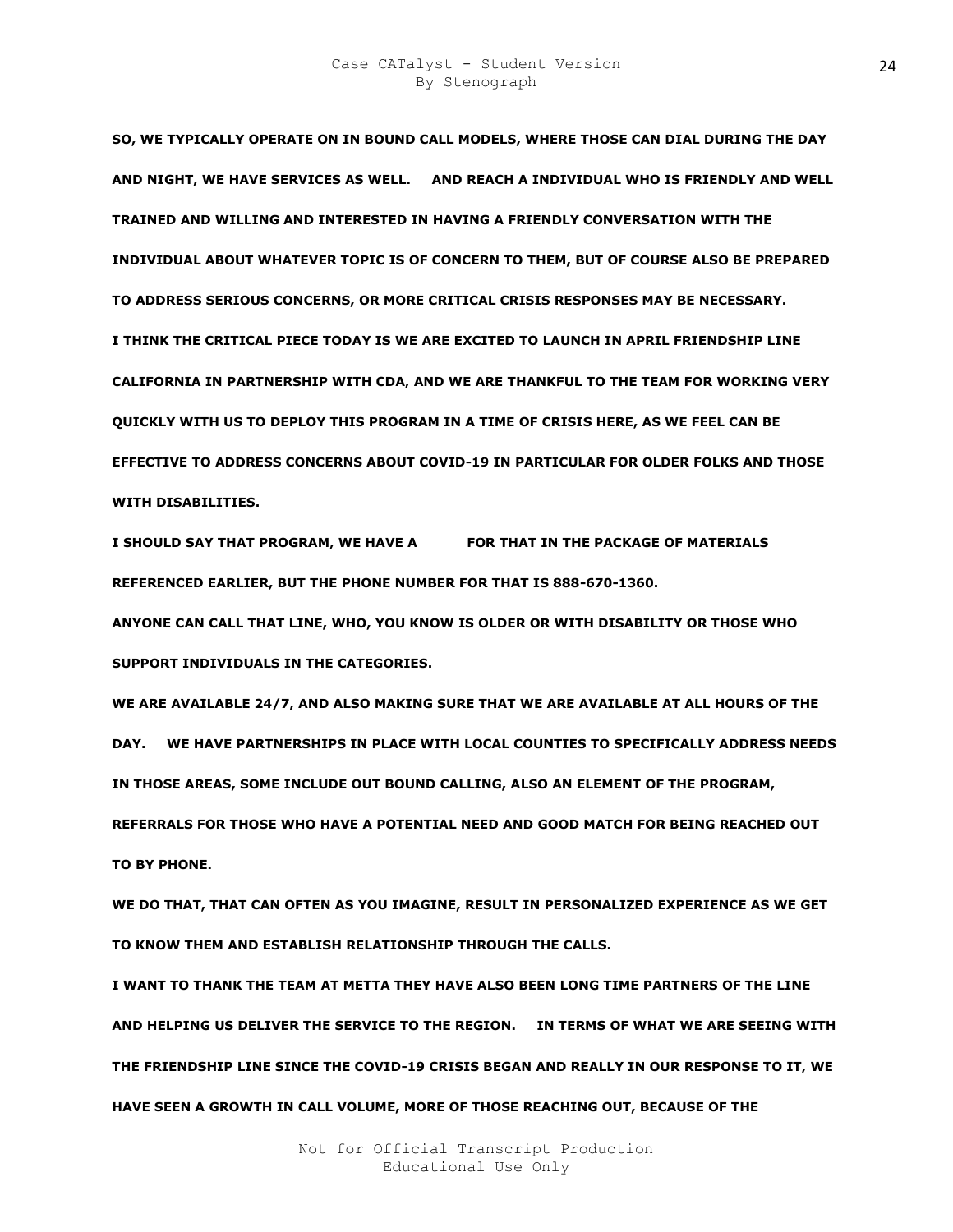**SO, WE TYPICALLY OPERATE ON IN BOUND CALL MODELS, WHERE THOSE CAN DIAL DURING THE DAY AND NIGHT, WE HAVE SERVICES AS WELL. AND REACH A INDIVIDUAL WHO IS FRIENDLY AND WELL TRAINED AND WILLING AND INTERESTED IN HAVING A FRIENDLY CONVERSATION WITH THE INDIVIDUAL ABOUT WHATEVER TOPIC IS OF CONCERN TO THEM, BUT OF COURSE ALSO BE PREPARED TO ADDRESS SERIOUS CONCERNS, OR MORE CRITICAL CRISIS RESPONSES MAY BE NECESSARY. I THINK THE CRITICAL PIECE TODAY IS WE ARE EXCITED TO LAUNCH IN APRIL FRIENDSHIP LINE CALIFORNIA IN PARTNERSHIP WITH CDA, AND WE ARE THANKFUL TO THE TEAM FOR WORKING VERY QUICKLY WITH US TO DEPLOY THIS PROGRAM IN A TIME OF CRISIS HERE, AS WE FEEL CAN BE EFFECTIVE TO ADDRESS CONCERNS ABOUT COVID-19 IN PARTICULAR FOR OLDER FOLKS AND THOSE WITH DISABILITIES.** 

I SHOULD SAY THAT PROGRAM, WE HAVE A FOR THAT IN THE PACKAGE OF MATERIALS **REFERENCED EARLIER, BUT THE PHONE NUMBER FOR THAT IS 888-670-1360.** 

**ANYONE CAN CALL THAT LINE, WHO, YOU KNOW IS OLDER OR WITH DISABILITY OR THOSE WHO SUPPORT INDIVIDUALS IN THE CATEGORIES.** 

**WE ARE AVAILABLE 24/7, AND ALSO MAKING SURE THAT WE ARE AVAILABLE AT ALL HOURS OF THE DAY. WE HAVE PARTNERSHIPS IN PLACE WITH LOCAL COUNTIES TO SPECIFICALLY ADDRESS NEEDS IN THOSE AREAS, SOME INCLUDE OUT BOUND CALLING, ALSO AN ELEMENT OF THE PROGRAM, REFERRALS FOR THOSE WHO HAVE A POTENTIAL NEED AND GOOD MATCH FOR BEING REACHED OUT TO BY PHONE.** 

**WE DO THAT, THAT CAN OFTEN AS YOU IMAGINE, RESULT IN PERSONALIZED EXPERIENCE AS WE GET TO KNOW THEM AND ESTABLISH RELATIONSHIP THROUGH THE CALLS.** 

**I WANT TO THANK THE TEAM AT METTA THEY HAVE ALSO BEEN LONG TIME PARTNERS OF THE LINE AND HELPING US DELIVER THE SERVICE TO THE REGION. IN TERMS OF WHAT WE ARE SEEING WITH THE FRIENDSHIP LINE SINCE THE COVID-19 CRISIS BEGAN AND REALLY IN OUR RESPONSE TO IT, WE HAVE SEEN A GROWTH IN CALL VOLUME, MORE OF THOSE REACHING OUT, BECAUSE OF THE**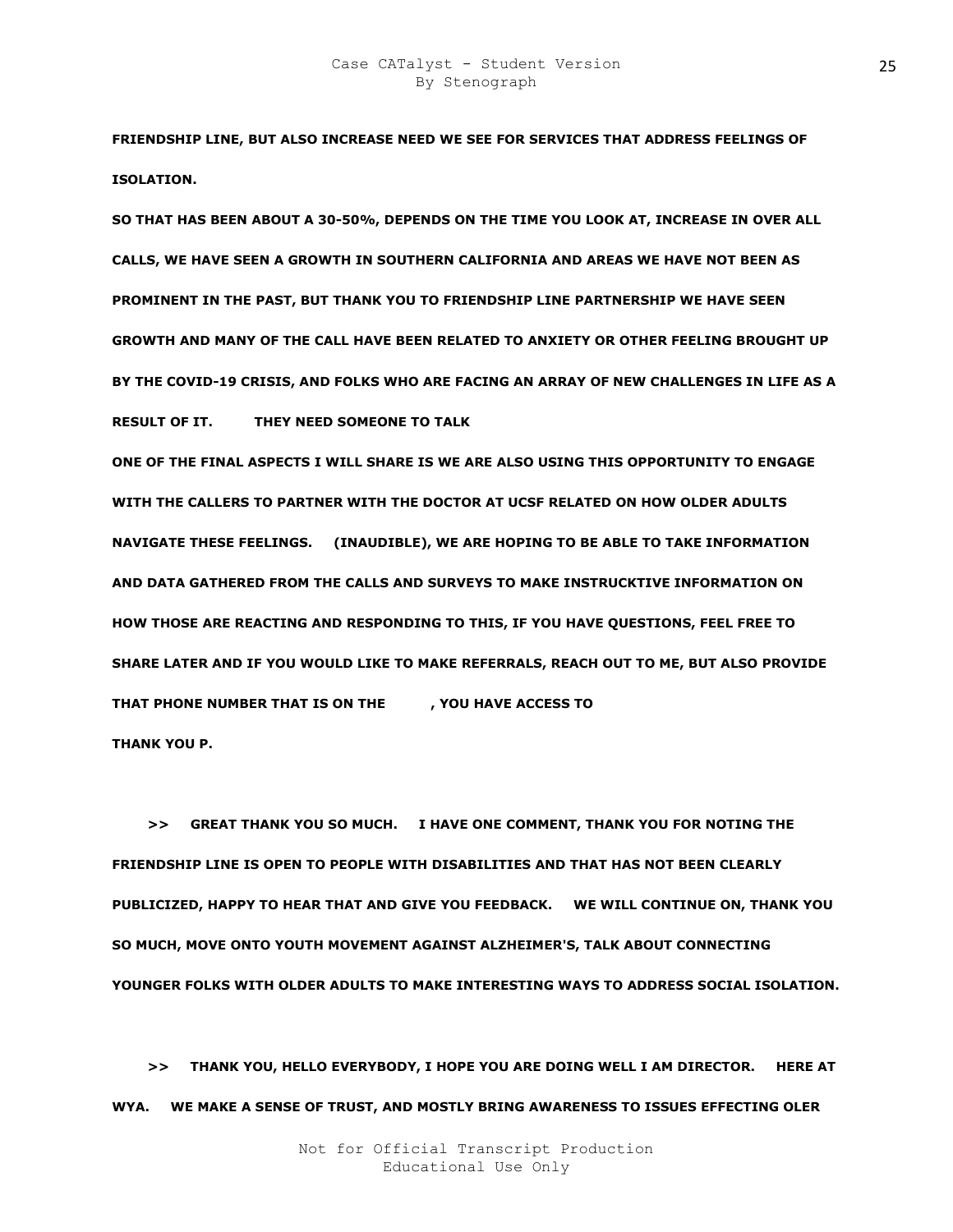**FRIENDSHIP LINE, BUT ALSO INCREASE NEED WE SEE FOR SERVICES THAT ADDRESS FEELINGS OF ISOLATION.** 

**SO THAT HAS BEEN ABOUT A 30-50%, DEPENDS ON THE TIME YOU LOOK AT, INCREASE IN OVER ALL CALLS, WE HAVE SEEN A GROWTH IN SOUTHERN CALIFORNIA AND AREAS WE HAVE NOT BEEN AS PROMINENT IN THE PAST, BUT THANK YOU TO FRIENDSHIP LINE PARTNERSHIP WE HAVE SEEN GROWTH AND MANY OF THE CALL HAVE BEEN RELATED TO ANXIETY OR OTHER FEELING BROUGHT UP BY THE COVID-19 CRISIS, AND FOLKS WHO ARE FACING AN ARRAY OF NEW CHALLENGES IN LIFE AS A RESULT OF IT. THEY NEED SOMEONE TO TALK** 

**ONE OF THE FINAL ASPECTS I WILL SHARE IS WE ARE ALSO USING THIS OPPORTUNITY TO ENGAGE WITH THE CALLERS TO PARTNER WITH THE DOCTOR AT UCSF RELATED ON HOW OLDER ADULTS NAVIGATE THESE FEELINGS. (INAUDIBLE), WE ARE HOPING TO BE ABLE TO TAKE INFORMATION AND DATA GATHERED FROM THE CALLS AND SURVEYS TO MAKE INSTRUCKTIVE INFORMATION ON HOW THOSE ARE REACTING AND RESPONDING TO THIS, IF YOU HAVE QUESTIONS, FEEL FREE TO SHARE LATER AND IF YOU WOULD LIKE TO MAKE REFERRALS, REACH OUT TO ME, BUT ALSO PROVIDE**  THAT PHONE NUMBER THAT IS ON THE FLYOU HAVE ACCESS TO **THANK YOU P.** 

 **>> GREAT THANK YOU SO MUCH. I HAVE ONE COMMENT, THANK YOU FOR NOTING THE FRIENDSHIP LINE IS OPEN TO PEOPLE WITH DISABILITIES AND THAT HAS NOT BEEN CLEARLY PUBLICIZED, HAPPY TO HEAR THAT AND GIVE YOU FEEDBACK. WE WILL CONTINUE ON, THANK YOU SO MUCH, MOVE ONTO YOUTH MOVEMENT AGAINST ALZHEIMER'S, TALK ABOUT CONNECTING YOUNGER FOLKS WITH OLDER ADULTS TO MAKE INTERESTING WAYS TO ADDRESS SOCIAL ISOLATION.** 

 **>> THANK YOU, HELLO EVERYBODY, I HOPE YOU ARE DOING WELL I AM DIRECTOR. HERE AT WYA. WE MAKE A SENSE OF TRUST, AND MOSTLY BRING AWARENESS TO ISSUES EFFECTING OLER**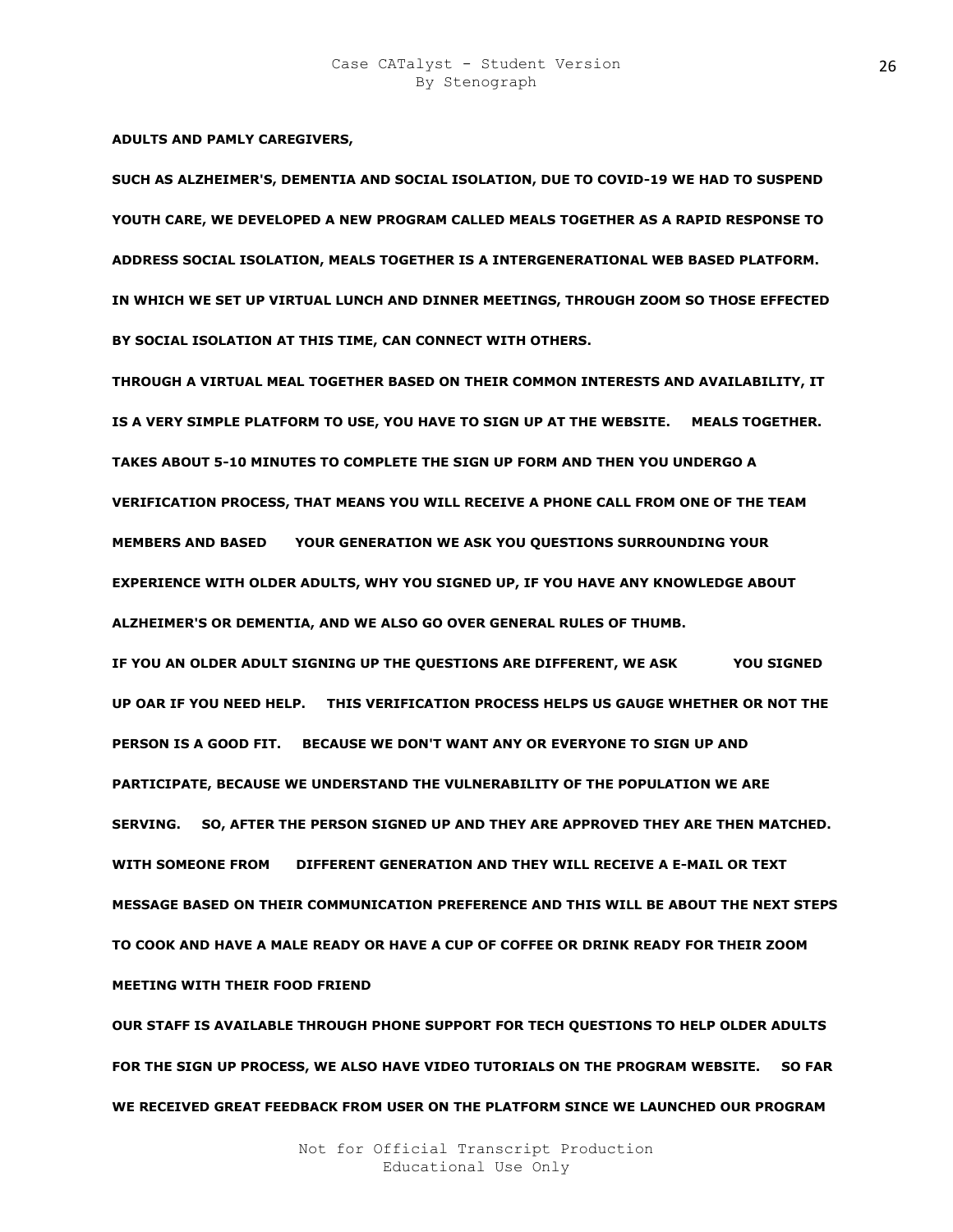**ADULTS AND PAMLY CAREGIVERS,** 

**SUCH AS ALZHEIMER'S, DEMENTIA AND SOCIAL ISOLATION, DUE TO COVID-19 WE HAD TO SUSPEND YOUTH CARE, WE DEVELOPED A NEW PROGRAM CALLED MEALS TOGETHER AS A RAPID RESPONSE TO ADDRESS SOCIAL ISOLATION, MEALS TOGETHER IS A INTERGENERATIONAL WEB BASED PLATFORM. IN WHICH WE SET UP VIRTUAL LUNCH AND DINNER MEETINGS, THROUGH ZOOM SO THOSE EFFECTED BY SOCIAL ISOLATION AT THIS TIME, CAN CONNECT WITH OTHERS.** 

**THROUGH A VIRTUAL MEAL TOGETHER BASED ON THEIR COMMON INTERESTS AND AVAILABILITY, IT IS A VERY SIMPLE PLATFORM TO USE, YOU HAVE TO SIGN UP AT THE WEBSITE. MEALS TOGETHER. TAKES ABOUT 5-10 MINUTES TO COMPLETE THE SIGN UP FORM AND THEN YOU UNDERGO A VERIFICATION PROCESS, THAT MEANS YOU WILL RECEIVE A PHONE CALL FROM ONE OF THE TEAM MEMBERS AND BASED OB YOUR GENERATION WE ASK YOU QUESTIONS SURROUNDING YOUR EXPERIENCE WITH OLDER ADULTS, WHY YOU SIGNED UP, IF YOU HAVE ANY KNOWLEDGE ABOUT ALZHEIMER'S OR DEMENTIA, AND WE ALSO GO OVER GENERAL RULES OF THUMB.** 

IF YOU AN OLDER ADULT SIGNING UP THE QUESTIONS ARE DIFFERENT, WE ASK YOU SIGNED **UP OAR IF YOU NEED HELP. THIS VERIFICATION PROCESS HELPS US GAUGE WHETHER OR NOT THE PERSON IS A GOOD FIT. BECAUSE WE DON'T WANT ANY OR EVERYONE TO SIGN UP AND PARTICIPATE, BECAUSE WE UNDERSTAND THE VULNERABILITY OF THE POPULATION WE ARE SERVING. SO, AFTER THE PERSON SIGNED UP AND THEY ARE APPROVED THEY ARE THEN MATCHED.**  WITH SOMEONE FROM DIFFERENT GENERATION AND THEY WILL RECEIVE A E-MAIL OR TEXT **MESSAGE BASED ON THEIR COMMUNICATION PREFERENCE AND THIS WILL BE ABOUT THE NEXT STEPS TO COOK AND HAVE A MALE READY OR HAVE A CUP OF COFFEE OR DRINK READY FOR THEIR ZOOM MEETING WITH THEIR FOOD FRIEND** 

**OUR STAFF IS AVAILABLE THROUGH PHONE SUPPORT FOR TECH QUESTIONS TO HELP OLDER ADULTS FOR THE SIGN UP PROCESS, WE ALSO HAVE VIDEO TUTORIALS ON THE PROGRAM WEBSITE. SO FAR WE RECEIVED GREAT FEEDBACK FROM USER ON THE PLATFORM SINCE WE LAUNCHED OUR PROGRAM**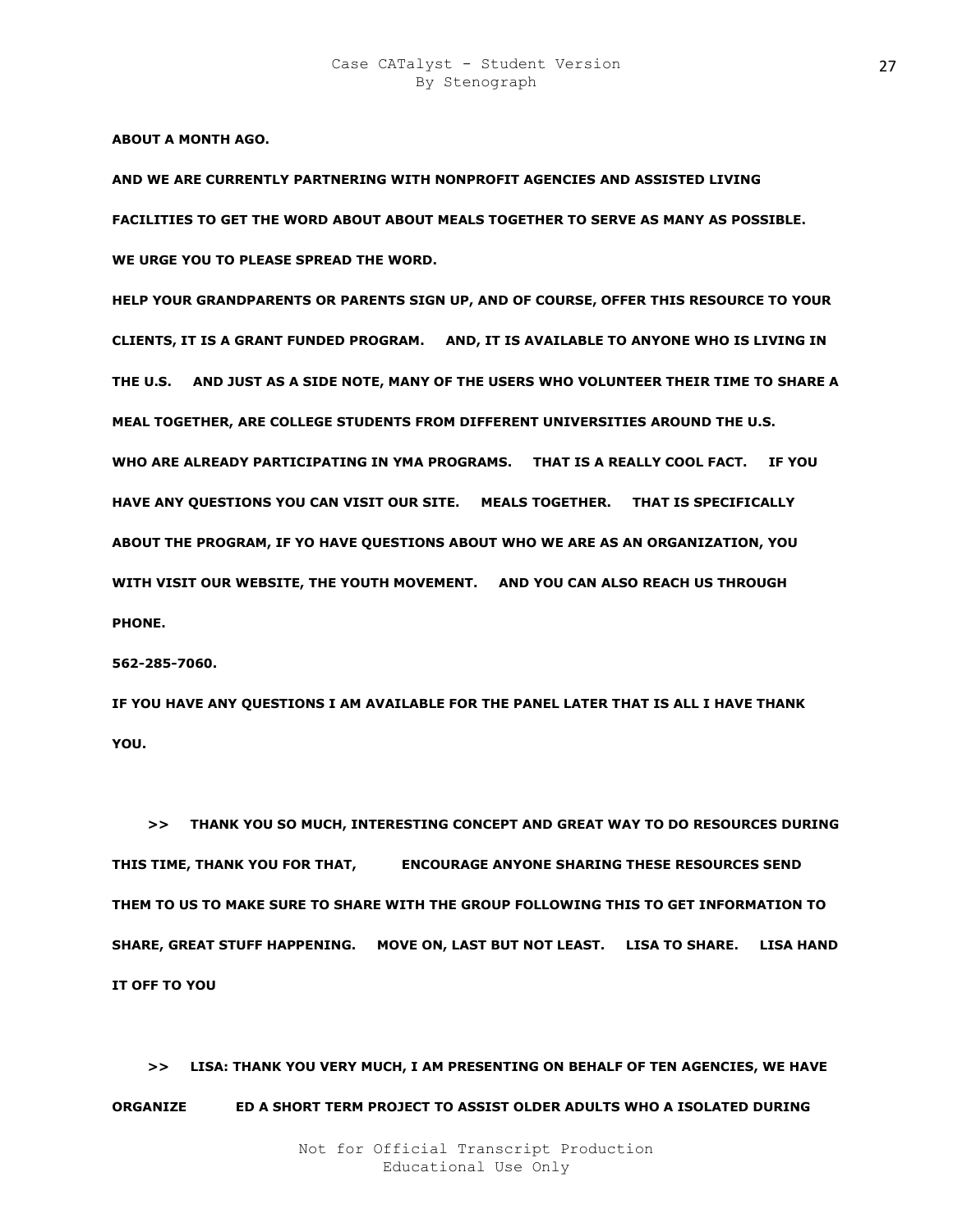**ABOUT A MONTH AGO.** 

**AND WE ARE CURRENTLY PARTNERING WITH NONPROFIT AGENCIES AND ASSISTED LIVING FACILITIES TO GET THE WORD ABOUT ABOUT MEALS TOGETHER TO SERVE AS MANY AS POSSIBLE. WE URGE YOU TO PLEASE SPREAD THE WORD.** 

**HELP YOUR GRANDPARENTS OR PARENTS SIGN UP, AND OF COURSE, OFFER THIS RESOURCE TO YOUR CLIENTS, IT IS A GRANT FUNDED PROGRAM. AND, IT IS AVAILABLE TO ANYONE WHO IS LIVING IN THE U.S. AND JUST AS A SIDE NOTE, MANY OF THE USERS WHO VOLUNTEER THEIR TIME TO SHARE A MEAL TOGETHER, ARE COLLEGE STUDENTS FROM DIFFERENT UNIVERSITIES AROUND THE U.S. WHO ARE ALREADY PARTICIPATING IN YMA PROGRAMS. THAT IS A REALLY COOL FACT. IF YOU HAVE ANY QUESTIONS YOU CAN VISIT OUR SITE. MEALS TOGETHER. THAT IS SPECIFICALLY ABOUT THE PROGRAM, IF YO HAVE QUESTIONS ABOUT WHO WE ARE AS AN ORGANIZATION, YOU WITH VISIT OUR WEBSITE, THE YOUTH MOVEMENT. AND YOU CAN ALSO REACH US THROUGH PHONE.** 

**562-285-7060.** 

**IF YOU HAVE ANY QUESTIONS I AM AVAILABLE FOR THE PANEL LATER THAT IS ALL I HAVE THANK YOU.** 

 **>> THANK YOU SO MUCH, INTERESTING CONCEPT AND GREAT WAY TO DO RESOURCES DURING THIS TIME, THANK YOU FOR THAT, ALGS ENCOURAGE ANYONE SHARING THESE RESOURCES SEND THEM TO US TO MAKE SURE TO SHARE WITH THE GROUP FOLLOWING THIS TO GET INFORMATION TO SHARE, GREAT STUFF HAPPENING. MOVE ON, LAST BUT NOT LEAST. LISA TO SHARE. LISA HAND IT OFF TO YOU** 

 **>> LISA: THANK YOU VERY MUCH, I AM PRESENTING ON BEHALF OF TEN AGENCIES, WE HAVE ORGANIZE BILE A SHORT TERM PROJECT TO ASSIST OLDER ADULTS WHO A ISOLATED DURING**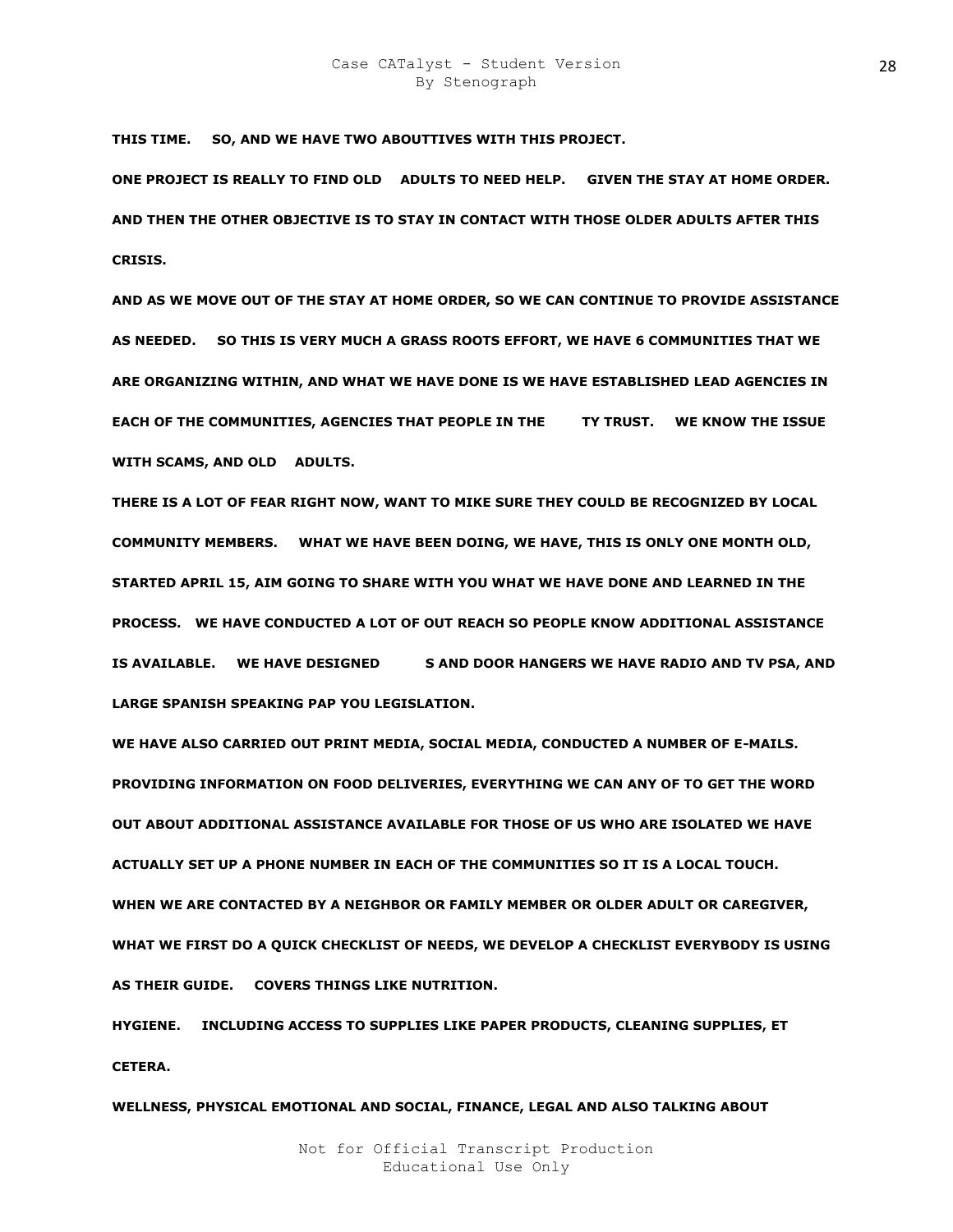**THIS TIME. SO, AND WE HAVE TWO ABOUTTIVES WITH THIS PROJECT.** 

**ONE PROJECT IS REALLY TO FIND OLD R ADULTS TO NEED HELP. GIVEN THE STAY AT HOME ORDER. AND THEN THE OTHER OBJECTIVE IS TO STAY IN CONTACT WITH THOSE OLDER ADULTS AFTER THIS CRISIS.** 

**AND AS WE MOVE OUT OF THE STAY AT HOME ORDER, SO WE CAN CONTINUE TO PROVIDE ASSISTANCE AS NEEDED. SO THIS IS VERY MUCH A GRASS ROOTS EFFORT, WE HAVE 6 COMMUNITIES THAT WE ARE ORGANIZING WITHIN, AND WHAT WE HAVE DONE IS WE HAVE ESTABLISHED LEAD AGENCIES IN EACH OF THE COMMUNITIES, AGENCIES THAT PEOPLE IN THE TY TRUST. WE KNOW THE ISSUE WITH SCAMS, AND OLD ADULTS.** 

**THERE IS A LOT OF FEAR RIGHT NOW, WANT TO MIKE SURE THEY COULD BE RECOGNIZED BY LOCAL COMMUNITY MEMBERS. WHAT WE HAVE BEEN DOING, WE HAVE, THIS IS ONLY ONE MONTH OLD, STARTED APRIL 15, AIM GOING TO SHARE WITH YOU WHAT WE HAVE DONE AND LEARNED IN THE PROCESS. WE HAVE CONDUCTED A LOT OF OUT REACH SO PEOPLE KNOW ADDITIONAL ASSISTANCE**  IS AVAILABLE. WE HAVE DESIGNED S AND DOOR HANGERS WE HAVE RADIO AND TV PSA, AND **LARGE SPANISH SPEAKING PAP YOU LEGISLATION.** 

**WE HAVE ALSO CARRIED OUT PRINT MEDIA, SOCIAL MEDIA, CONDUCTED A NUMBER OF E-MAILS. PROVIDING INFORMATION ON FOOD DELIVERIES, EVERYTHING WE CAN ANY OF TO GET THE WORD OUT ABOUT ADDITIONAL ASSISTANCE AVAILABLE FOR THOSE OF US WHO ARE ISOLATED WE HAVE ACTUALLY SET UP A PHONE NUMBER IN EACH OF THE COMMUNITIES SO IT IS A LOCAL TOUCH. WHEN WE ARE CONTACTED BY A NEIGHBOR OR FAMILY MEMBER OR OLDER ADULT OR CAREGIVER, WHAT WE FIRST DO A QUICK CHECKLIST OF NEEDS, WE DEVELOP A CHECKLIST EVERYBODY IS USING AS THEIR GUIDE. COVERS THINGS LIKE NUTRITION.** 

**HYGIENE. INCLUDING ACCESS TO SUPPLIES LIKE PAPER PRODUCTS, CLEANING SUPPLIES, ET CETERA.** 

**WELLNESS, PHYSICAL EMOTIONAL AND SOCIAL, FINANCE, LEGAL AND ALSO TALKING ABOUT**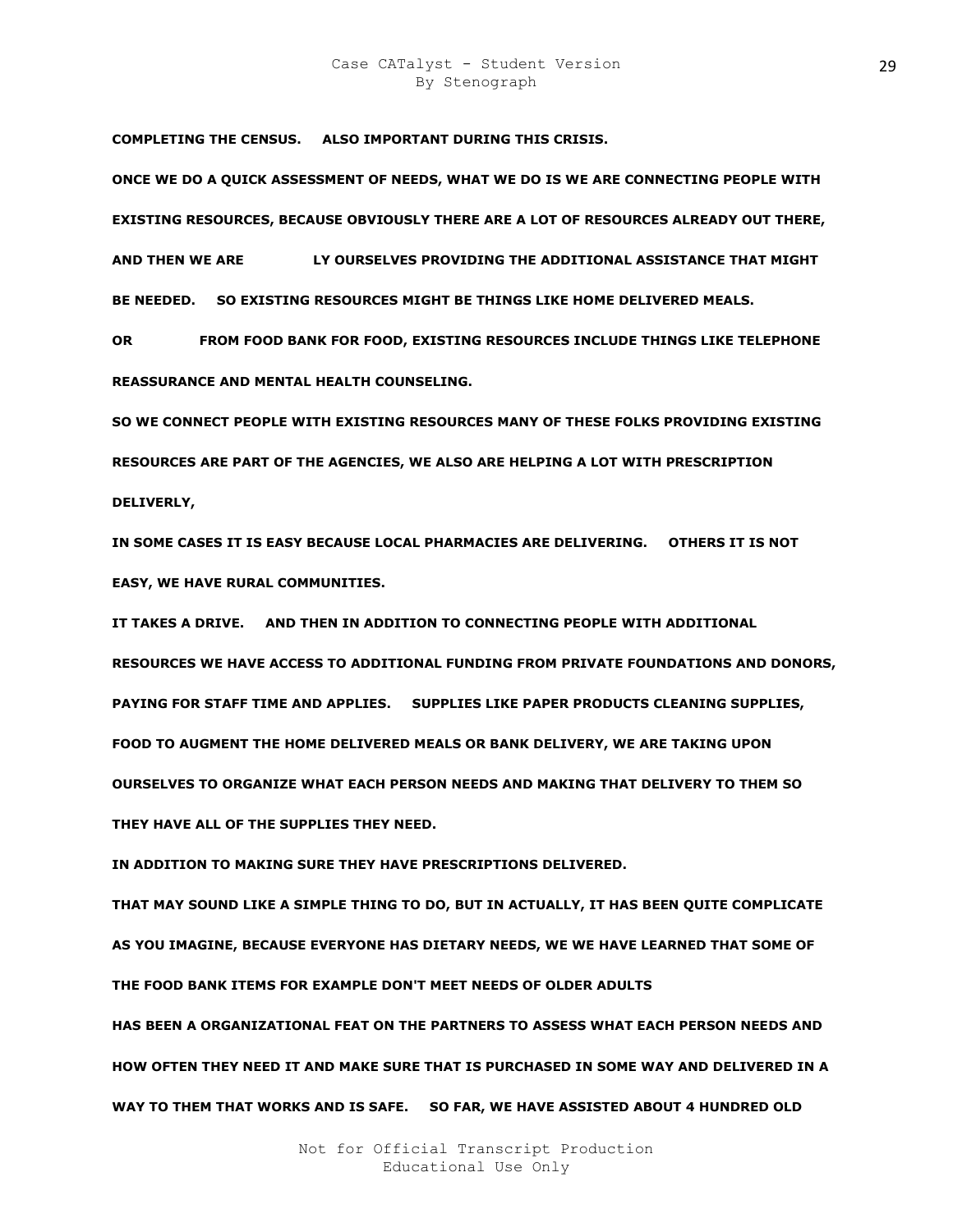## Case CATalyst - Student Version By Stenograph

**COMPLETING THE CENSUS. ALSO IMPORTANT DURING THIS CRISIS.** 

**ONCE WE DO A QUICK ASSESSMENT OF NEEDS, WHAT WE DO IS WE ARE CONNECTING PEOPLE WITH EXISTING RESOURCES, BECAUSE OBVIOUSLY THERE ARE A LOT OF RESOURCES ALREADY OUT THERE,**  AND THEN WE ARE **LY OURSELVES PROVIDING THE ADDITIONAL ASSISTANCE THAT MIGHT BE NEEDED. SO EXISTING RESOURCES MIGHT BE THINGS LIKE HOME DELIVERED MEALS.** 

**OR BANK FOOD BANK FOR FOOD, EXISTING RESOURCES INCLUDE THINGS LIKE TELEPHONE REASSURANCE AND MENTAL HEALTH COUNSELING.** 

**SO WE CONNECT PEOPLE WITH EXISTING RESOURCES MANY OF THESE FOLKS PROVIDING EXISTING RESOURCES ARE PART OF THE AGENCIES, WE ALSO ARE HELPING A LOT WITH PRESCRIPTION DELIVERLY,** 

**IN SOME CASES IT IS EASY BECAUSE LOCAL PHARMACIES ARE DELIVERING. OTHERS IT IS NOT EASY, WE HAVE RURAL COMMUNITIES.** 

**IT TAKES A DRIVE. AND THEN IN ADDITION TO CONNECTING PEOPLE WITH ADDITIONAL RESOURCES WE HAVE ACCESS TO ADDITIONAL FUNDING FROM PRIVATE FOUNDATIONS AND DONORS, PAYING FOR STAFF TIME AND APPLIES. SUPPLIES LIKE PAPER PRODUCTS CLEANING SUPPLIES, FOOD TO AUGMENT THE HOME DELIVERED MEALS OR BANK DELIVERY, WE ARE TAKING UPON OURSELVES TO ORGANIZE WHAT EACH PERSON NEEDS AND MAKING THAT DELIVERY TO THEM SO THEY HAVE ALL OF THE SUPPLIES THEY NEED.** 

**IN ADDITION TO MAKING SURE THEY HAVE PRESCRIPTIONS DELIVERED.** 

**THAT MAY SOUND LIKE A SIMPLE THING TO DO, BUT IN ACTUALLY, IT HAS BEEN QUITE COMPLICATE AS YOU IMAGINE, BECAUSE EVERYONE HAS DIETARY NEEDS, WE WE HAVE LEARNED THAT SOME OF THE FOOD BANK ITEMS FOR EXAMPLE DON'T MEET NEEDS OF OLDER ADULTS HAS BEEN A ORGANIZATIONAL FEAT ON THE PARTNERS TO ASSESS WHAT EACH PERSON NEEDS AND** 

**HOW OFTEN THEY NEED IT AND MAKE SURE THAT IS PURCHASED IN SOME WAY AND DELIVERED IN A WAY TO THEM THAT WORKS AND IS SAFE. SO FAR, WE HAVE ASSISTED ABOUT 4 HUNDRED OLD R**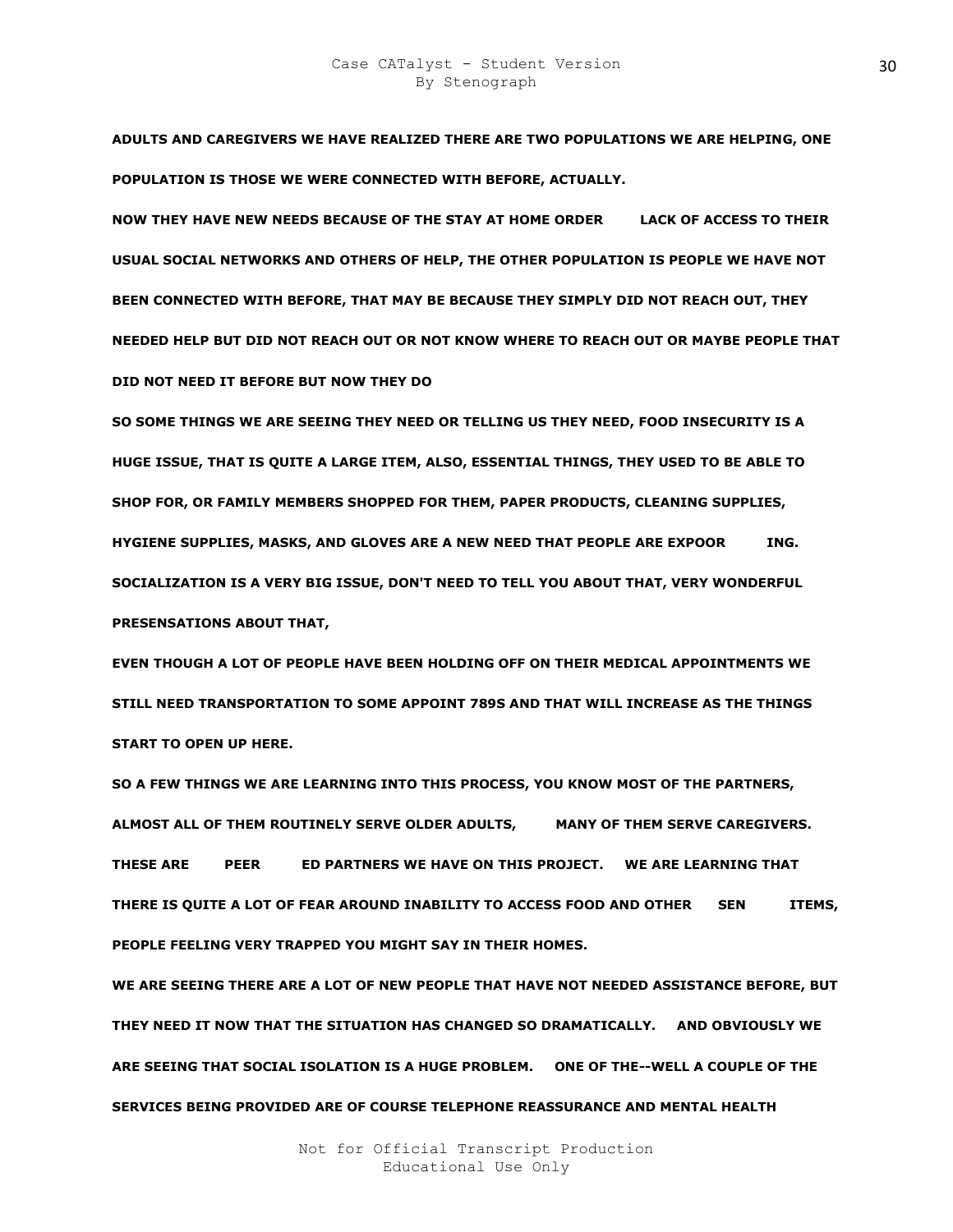**ADULTS AND CAREGIVERS WE HAVE REALIZED THERE ARE TWO POPULATIONS WE ARE HELPING, ONE POPULATION IS THOSE WE WERE CONNECTED WITH BEFORE, ACTUALLY.** 

**NOW THEY HAVE NEW NEEDS BECAUSE OF THE STAY AT HOME ORDER LACK OF ACCESS TO THEIR USUAL SOCIAL NETWORKS AND OTHERS OF HELP, THE OTHER POPULATION IS PEOPLE WE HAVE NOT BEEN CONNECTED WITH BEFORE, THAT MAY BE BECAUSE THEY SIMPLY DID NOT REACH OUT, THEY NEEDED HELP BUT DID NOT REACH OUT OR NOT KNOW WHERE TO REACH OUT OR MAYBE PEOPLE THAT DID NOT NEED IT BEFORE BUT NOW THEY DO** 

**SO SOME THINGS WE ARE SEEING THEY NEED OR TELLING US THEY NEED, FOOD INSECURITY IS A HUGE ISSUE, THAT IS QUITE A LARGE ITEM, ALSO, ESSENTIAL THINGS, THEY USED TO BE ABLE TO SHOP FOR, OR FAMILY MEMBERS SHOPPED FOR THEM, PAPER PRODUCTS, CLEANING SUPPLIES, HYGIENE SUPPLIES, MASKS, AND GLOVES ARE A NEW NEED THAT PEOPLE ARE EXPOOR YENSING. SOCIALIZATION IS A VERY BIG ISSUE, DON'T NEED TO TELL YOU ABOUT THAT, VERY WONDERFUL PRESENSATIONS ABOUT THAT,** 

**EVEN THOUGH A LOT OF PEOPLE HAVE BEEN HOLDING OFF ON THEIR MEDICAL APPOINTMENTS WE STILL NEED TRANSPORTATION TO SOME APPOINT 789S AND THAT WILL INCREASE AS THE THINGS START TO OPEN UP HERE.** 

**SO A FEW THINGS WE ARE LEARNING INTO THIS PROCESS, YOU KNOW MOST OF THE PARTNERS,**  ALMOST ALL OF THEM ROUTINELY SERVE OLDER ADULTS, MANY OF THEM SERVE CAREGIVERS. THESE ARE PEER ED PARTNERS WE HAVE ON THIS PROJECT. WE ARE LEARNING THAT **THERE IS QUITE A LOT OF FEAR AROUND INABILITY TO ACCESS FOOD AND OTHER SEN ITEMS, PEOPLE FEELING VERY TRAPPED YOU MIGHT SAY IN THEIR HOMES.** 

**WE ARE SEEING THERE ARE A LOT OF NEW PEOPLE THAT HAVE NOT NEEDED ASSISTANCE BEFORE, BUT THEY NEED IT NOW THAT THE SITUATION HAS CHANGED SO DRAMATICALLY. AND OBVIOUSLY WE ARE SEEING THAT SOCIAL ISOLATION IS A HUGE PROBLEM. ONE OF THE--WELL A COUPLE OF THE SERVICES BEING PROVIDED ARE OF COURSE TELEPHONE REASSURANCE AND MENTAL HEALTH**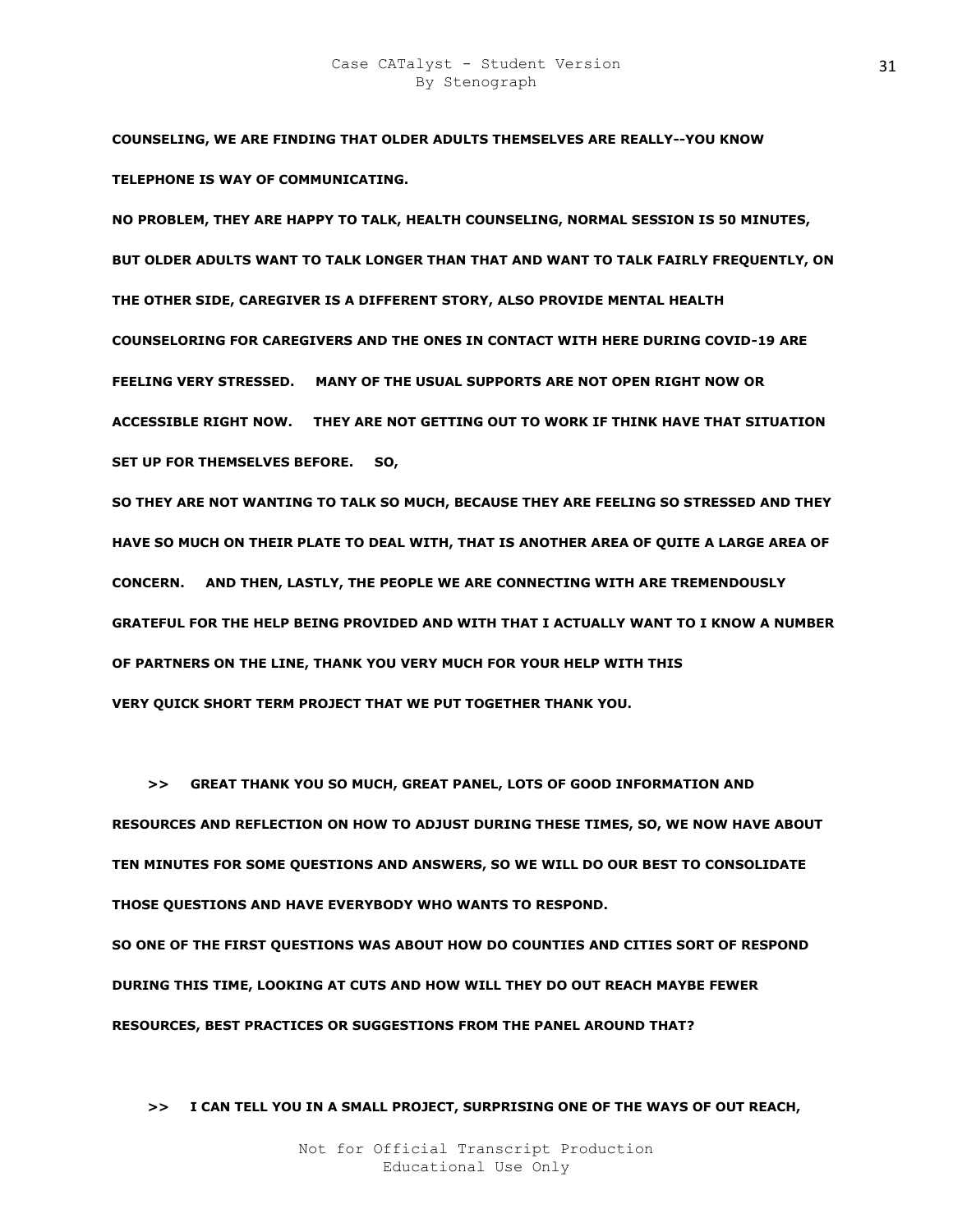**COUNSELING, WE ARE FINDING THAT OLDER ADULTS THEMSELVES ARE REALLY--YOU KNOW TELEPHONE IS WAY OF COMMUNICATING.** 

**NO PROBLEM, THEY ARE HAPPY TO TALK, HEALTH COUNSELING, NORMAL SESSION IS 50 MINUTES, BUT OLDER ADULTS WANT TO TALK LONGER THAN THAT AND WANT TO TALK FAIRLY FREQUENTLY, ON THE OTHER SIDE, CAREGIVER IS A DIFFERENT STORY, ALSO PROVIDE MENTAL HEALTH COUNSELORING FOR CAREGIVERS AND THE ONES IN CONTACT WITH HERE DURING COVID-19 ARE FEELING VERY STRESSED. MANY OF THE USUAL SUPPORTS ARE NOT OPEN RIGHT NOW OR ACCESSIBLE RIGHT NOW. THEY ARE NOT GETTING OUT TO WORK IF THINK HAVE THAT SITUATION SET UP FOR THEMSELVES BEFORE. SO,** 

**SO THEY ARE NOT WANTING TO TALK SO MUCH, BECAUSE THEY ARE FEELING SO STRESSED AND THEY HAVE SO MUCH ON THEIR PLATE TO DEAL WITH, THAT IS ANOTHER AREA OF QUITE A LARGE AREA OF CONCERN. AND THEN, LASTLY, THE PEOPLE WE ARE CONNECTING WITH ARE TREMENDOUSLY GRATEFUL FOR THE HELP BEING PROVIDED AND WITH THAT I ACTUALLY WANT TO I KNOW A NUMBER OF PARTNERS ON THE LINE, THANK YOU VERY MUCH FOR YOUR HELP WITH THIS VERY QUICK SHORT TERM PROJECT THAT WE PUT TOGETHER THANK YOU.** 

 **>> GREAT THANK YOU SO MUCH, GREAT PANEL, LOTS OF GOOD INFORMATION AND RESOURCES AND REFLECTION ON HOW TO ADJUST DURING THESE TIMES, SO, WE NOW HAVE ABOUT TEN MINUTES FOR SOME QUESTIONS AND ANSWERS, SO WE WILL DO OUR BEST TO CONSOLIDATE THOSE QUESTIONS AND HAVE EVERYBODY WHO WANTS TO RESPOND. SO ONE OF THE FIRST QUESTIONS WAS ABOUT HOW DO COUNTIES AND CITIES SORT OF RESPOND DURING THIS TIME, LOOKING AT CUTS AND HOW WILL THEY DO OUT REACH MAYBE FEWER RESOURCES, BEST PRACTICES OR SUGGESTIONS FROM THE PANEL AROUND THAT?** 

 **>> I CAN TELL YOU IN A SMALL PROJECT, SURPRISING ONE OF THE WAYS OF OUT REACH,**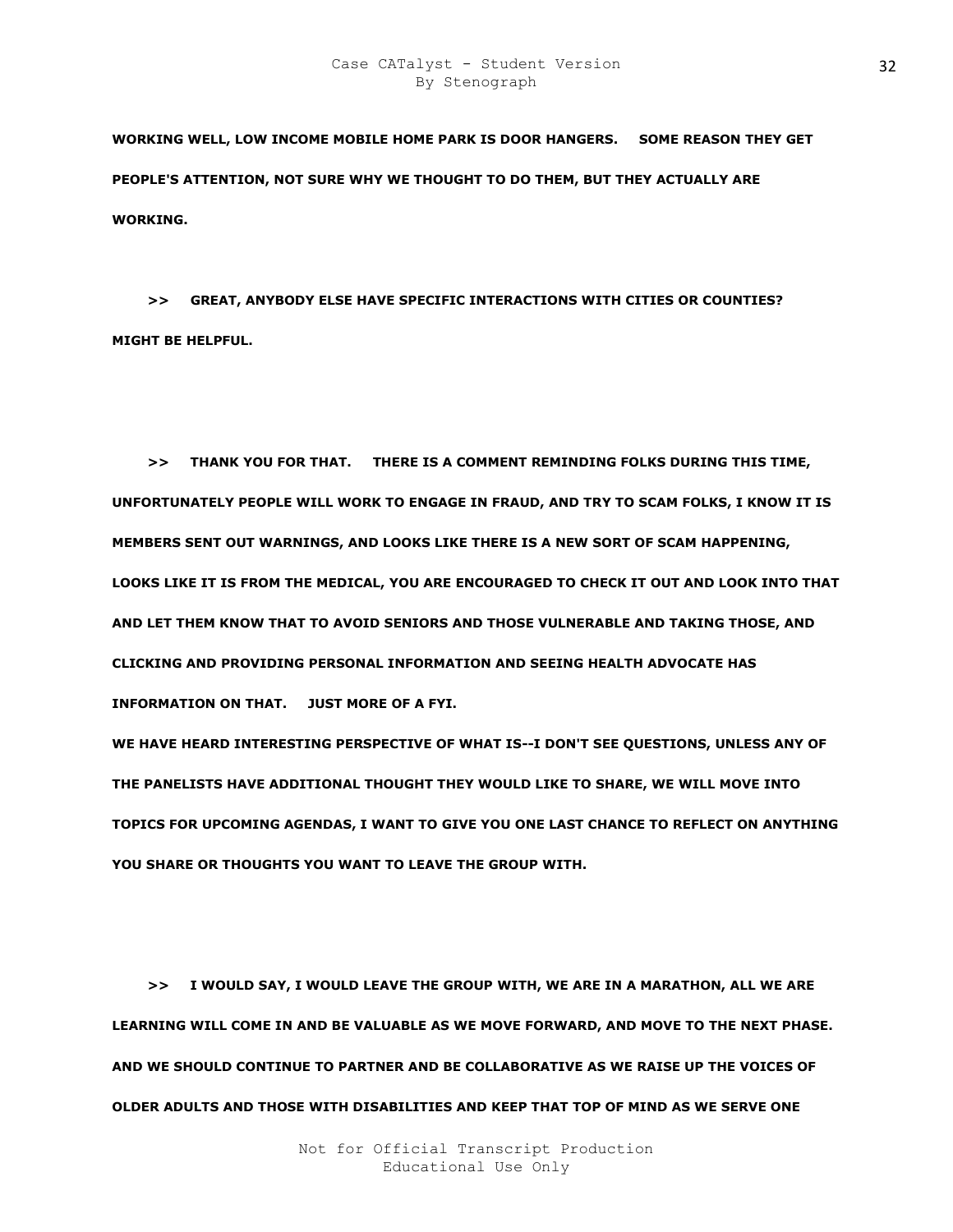**WORKING WELL, LOW INCOME MOBILE HOME PARK IS DOOR HANGERS. SOME REASON THEY GET PEOPLE'S ATTENTION, NOT SURE WHY WE THOUGHT TO DO THEM, BUT THEY ACTUALLY ARE WORKING.** 

 **>> GREAT, ANYBODY ELSE HAVE SPECIFIC INTERACTIONS WITH CITIES OR COUNTIES? MIGHT BE HELPFUL.** 

 **>> THANK YOU FOR THAT. THERE IS A COMMENT REMINDING FOLKS DURING THIS TIME, UNFORTUNATELY PEOPLE WILL WORK TO ENGAGE IN FRAUD, AND TRY TO SCAM FOLKS, I KNOW IT IS MEMBERS SENT OUT WARNINGS, AND LOOKS LIKE THERE IS A NEW SORT OF SCAM HAPPENING, LOOKS LIKE IT IS FROM THE MEDICAL, YOU ARE ENCOURAGED TO CHECK IT OUT AND LOOK INTO THAT AND LET THEM KNOW THAT TO AVOID SENIORS AND THOSE VULNERABLE AND TAKING THOSE, AND CLICKING AND PROVIDING PERSONAL INFORMATION AND SEEING HEALTH ADVOCATE HAS INFORMATION ON THAT. JUST MORE OF A FYI.** 

**WE HAVE HEARD INTERESTING PERSPECTIVE OF WHAT IS--I DON'T SEE QUESTIONS, UNLESS ANY OF THE PANELISTS HAVE ADDITIONAL THOUGHT THEY WOULD LIKE TO SHARE, WE WILL MOVE INTO TOPICS FOR UPCOMING AGENDAS, I WANT TO GIVE YOU ONE LAST CHANCE TO REFLECT ON ANYTHING YOU SHARE OR THOUGHTS YOU WANT TO LEAVE THE GROUP WITH.** 

 **>> I WOULD SAY, I WOULD LEAVE THE GROUP WITH, WE ARE IN A MARATHON, ALL WE ARE LEARNING WILL COME IN AND BE VALUABLE AS WE MOVE FORWARD, AND MOVE TO THE NEXT PHASE. AND WE SHOULD CONTINUE TO PARTNER AND BE COLLABORATIVE AS WE RAISE UP THE VOICES OF OLDER ADULTS AND THOSE WITH DISABILITIES AND KEEP THAT TOP OF MIND AS WE SERVE ONE**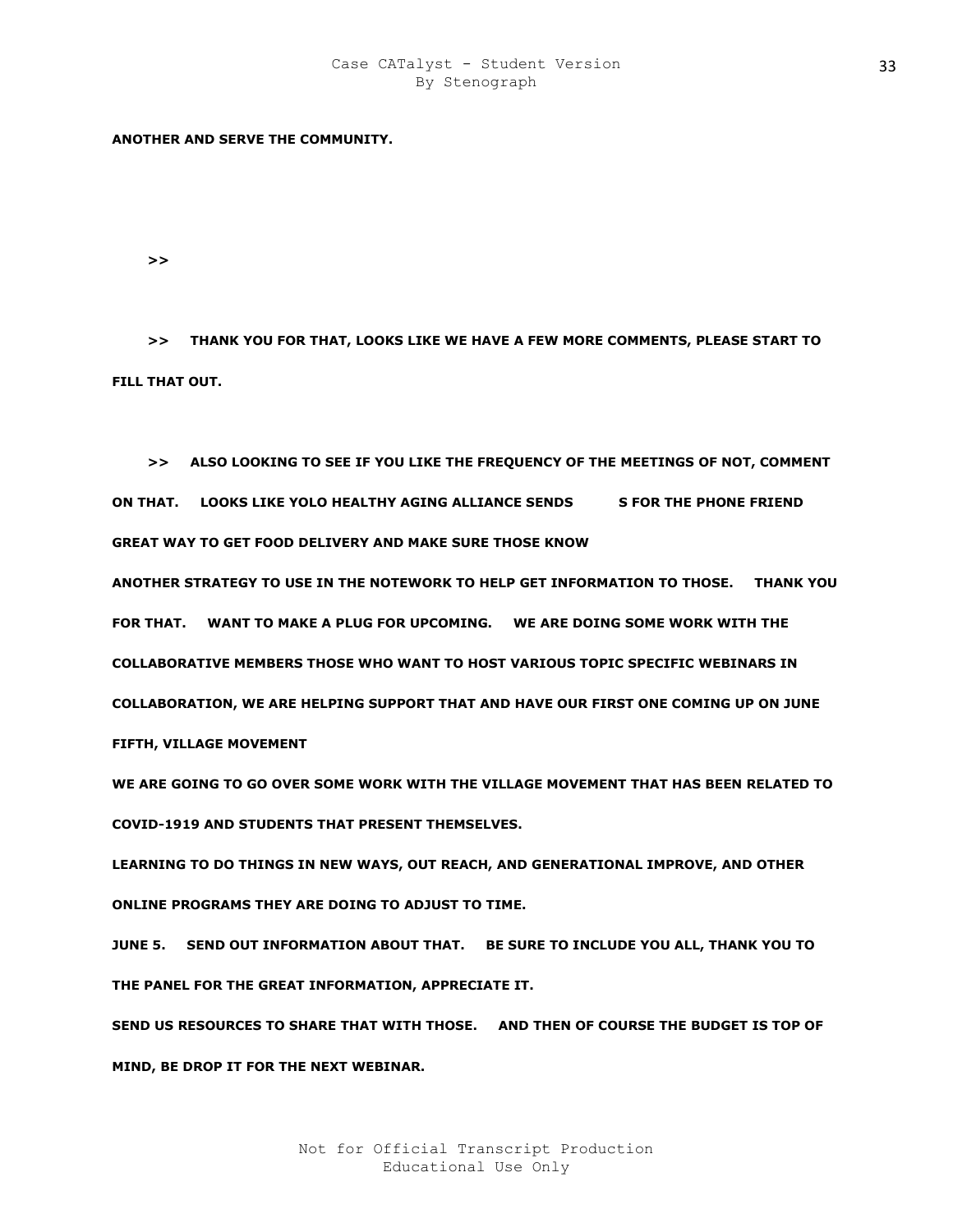## **ANOTHER AND SERVE THE COMMUNITY.**

 $>$ 

 **>> THANK YOU FOR THAT, LOOKS LIKE WE HAVE A FEW MORE COMMENTS, PLEASE START TO FILL THAT OUT.** 

 **>> ALSO LOOKING TO SEE IF YOU LIKE THE FREQUENCY OF THE MEETINGS OF NOT, COMMENT ON THAT. LOOKS LIKE YOLO HEALTHY AGING ALLIANCE SENDS S FOR THE PHONE FRIEND GREAT WAY TO GET FOOD DELIVERY AND MAKE SURE THOSE KNOW** 

**ANOTHER STRATEGY TO USE IN THE NOTEWORK TO HELP GET INFORMATION TO THOSE. THANK YOU FOR THAT. WANT TO MAKE A PLUG FOR UPCOMING. WE ARE DOING SOME WORK WITH THE COLLABORATIVE MEMBERS THOSE WHO WANT TO HOST VARIOUS TOPIC SPECIFIC WEBINARS IN COLLABORATION, WE ARE HELPING SUPPORT THAT AND HAVE OUR FIRST ONE COMING UP ON JUNE FIFTH, VILLAGE MOVEMENT** 

**WE ARE GOING TO GO OVER SOME WORK WITH THE VILLAGE MOVEMENT THAT HAS BEEN RELATED TO COVID-1919 AND STUDENTS THAT PRESENT THEMSELVES.** 

**LEARNING TO DO THINGS IN NEW WAYS, OUT REACH, AND GENERATIONAL IMPROVE, AND OTHER ONLINE PROGRAMS THEY ARE DOING TO ADJUST TO TIME.** 

**JUNE 5. SEND OUT INFORMATION ABOUT THAT. BE SURE TO INCLUDE YOU ALL, THANK YOU TO THE PANEL FOR THE GREAT INFORMATION, APPRECIATE IT.** 

**SEND US RESOURCES TO SHARE THAT WITH THOSE. AND THEN OF COURSE THE BUDGET IS TOP OF MIND, BE DROP IT FOR THE NEXT WEBINAR.**